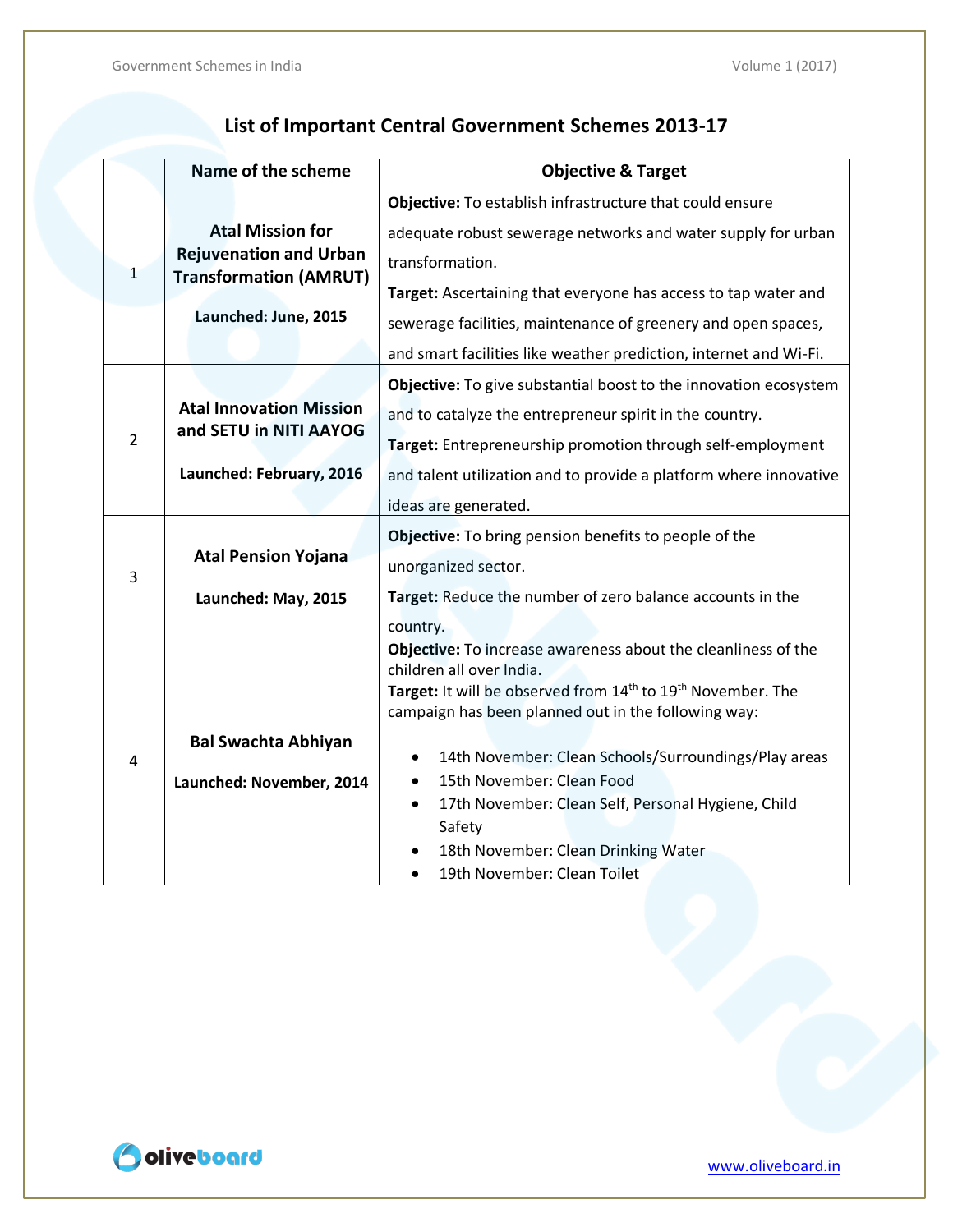### **List of Important Central Government Schemes 2013-17**

|                | Name of the scheme             | <b>Objective &amp; Target</b>                                                                                   |
|----------------|--------------------------------|-----------------------------------------------------------------------------------------------------------------|
|                |                                | Objective: To establish infrastructure that could ensure                                                        |
|                | <b>Atal Mission for</b>        | adequate robust sewerage networks and water supply for urban                                                    |
| 1              | <b>Rejuvenation and Urban</b>  | transformation.                                                                                                 |
|                | <b>Transformation (AMRUT)</b>  | Target: Ascertaining that everyone has access to tap water and                                                  |
|                | Launched: June, 2015           | sewerage facilities, maintenance of greenery and open spaces,                                                   |
|                |                                | and smart facilities like weather prediction, internet and Wi-Fi.                                               |
|                |                                | Objective: To give substantial boost to the innovation ecosystem                                                |
|                | <b>Atal Innovation Mission</b> | and to catalyze the entrepreneur spirit in the country.                                                         |
| $\overline{2}$ | and SETU in NITI AAYOG         | Target: Entrepreneurship promotion through self-employment                                                      |
|                | Launched: February, 2016       | and talent utilization and to provide a platform where innovative                                               |
|                |                                | ideas are generated.                                                                                            |
|                |                                | Objective: To bring pension benefits to people of the                                                           |
| 3              | <b>Atal Pension Yojana</b>     | unorganized sector.                                                                                             |
|                | Launched: May, 2015            | Target: Reduce the number of zero balance accounts in the                                                       |
|                |                                | country.                                                                                                        |
|                |                                | Objective: To increase awareness about the cleanliness of the                                                   |
|                |                                | children all over India.<br>Target: It will be observed from 14 <sup>th</sup> to 19 <sup>th</sup> November. The |
|                |                                | campaign has been planned out in the following way:                                                             |
|                |                                |                                                                                                                 |
| 4              | <b>Bal Swachta Abhiyan</b>     | 14th November: Clean Schools/Surroundings/Play areas<br>$\bullet$                                               |
|                | Launched: November, 2014       | 15th November: Clean Food<br>٠                                                                                  |
|                |                                | 17th November: Clean Self, Personal Hygiene, Child<br>$\bullet$                                                 |
|                |                                | Safety                                                                                                          |
|                |                                | 18th November: Clean Drinking Water                                                                             |
|                |                                | 19th November: Clean Toilet                                                                                     |

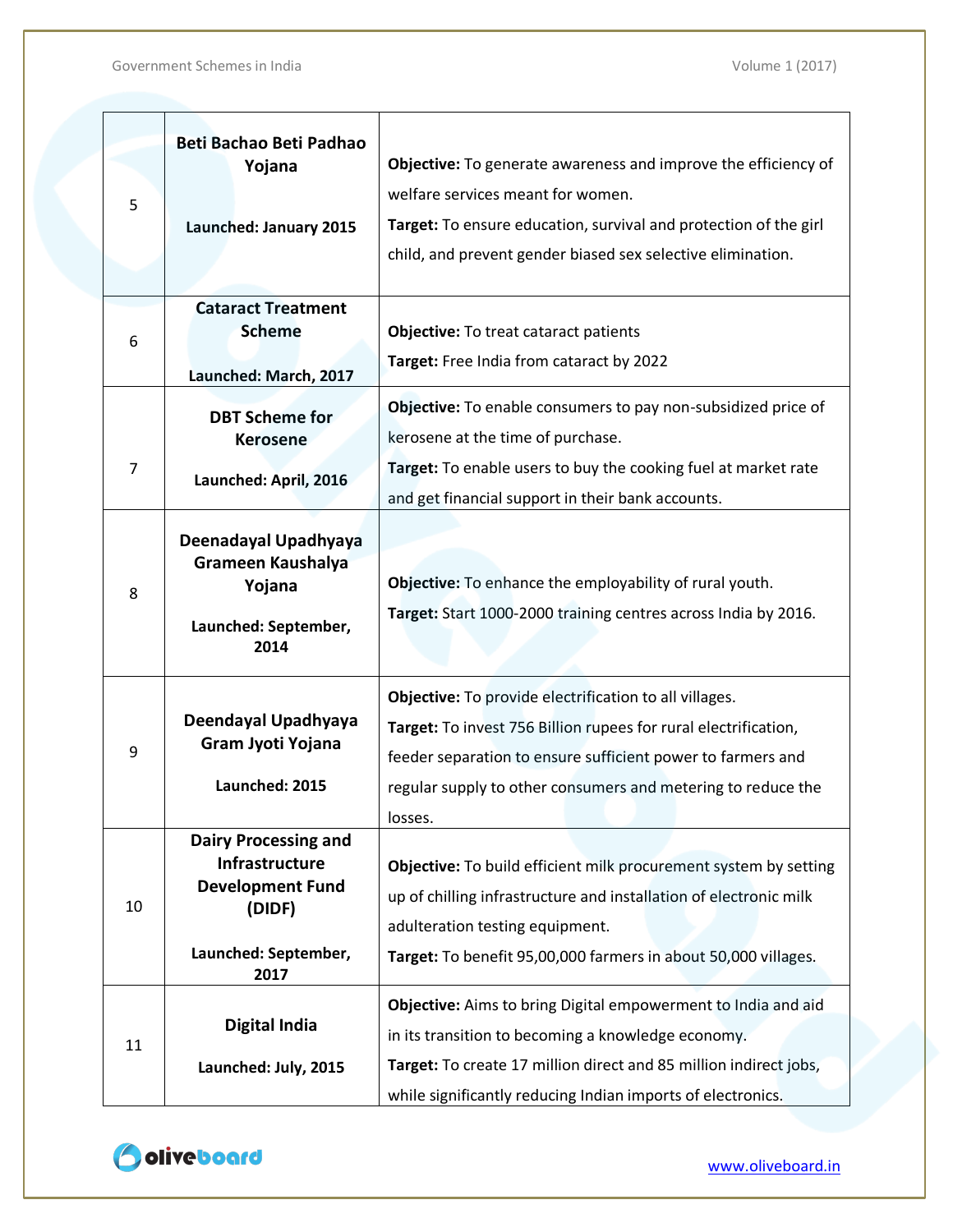| 5  | Beti Bachao Beti Padhao<br>Yojana<br>Launched: January 2015                                                        | Objective: To generate awareness and improve the efficiency of<br>welfare services meant for women.<br>Target: To ensure education, survival and protection of the girl<br>child, and prevent gender biased sex selective elimination.                              |
|----|--------------------------------------------------------------------------------------------------------------------|---------------------------------------------------------------------------------------------------------------------------------------------------------------------------------------------------------------------------------------------------------------------|
|    | <b>Cataract Treatment</b><br><b>Scheme</b>                                                                         | <b>Objective: To treat cataract patients</b>                                                                                                                                                                                                                        |
| 6  | Launched: March, 2017                                                                                              | Target: Free India from cataract by 2022                                                                                                                                                                                                                            |
| 7  | <b>DBT Scheme for</b><br><b>Kerosene</b><br>Launched: April, 2016                                                  | Objective: To enable consumers to pay non-subsidized price of<br>kerosene at the time of purchase.<br>Target: To enable users to buy the cooking fuel at market rate<br>and get financial support in their bank accounts.                                           |
| 8  | Deenadayal Upadhyaya<br><b>Grameen Kaushalya</b><br>Yojana<br>Launched: September,<br>2014                         | Objective: To enhance the employability of rural youth.<br>Target: Start 1000-2000 training centres across India by 2016.                                                                                                                                           |
| 9  | Deendayal Upadhyaya<br>Gram Jyoti Yojana<br>Launched: 2015                                                         | Objective: To provide electrification to all villages.<br>Target: To invest 756 Billion rupees for rural electrification,<br>feeder separation to ensure sufficient power to farmers and<br>regular supply to other consumers and metering to reduce the<br>losses. |
| 10 | <b>Dairy Processing and</b><br>Infrastructure<br><b>Development Fund</b><br>(DIDF)<br>Launched: September,<br>2017 | Objective: To build efficient milk procurement system by setting<br>up of chilling infrastructure and installation of electronic milk<br>adulteration testing equipment.<br>Target: To benefit 95,00,000 farmers in about 50,000 villages.                          |
| 11 | <b>Digital India</b><br>Launched: July, 2015                                                                       | Objective: Aims to bring Digital empowerment to India and aid<br>in its transition to becoming a knowledge economy.<br>Target: To create 17 million direct and 85 million indirect jobs,<br>while significantly reducing Indian imports of electronics.             |

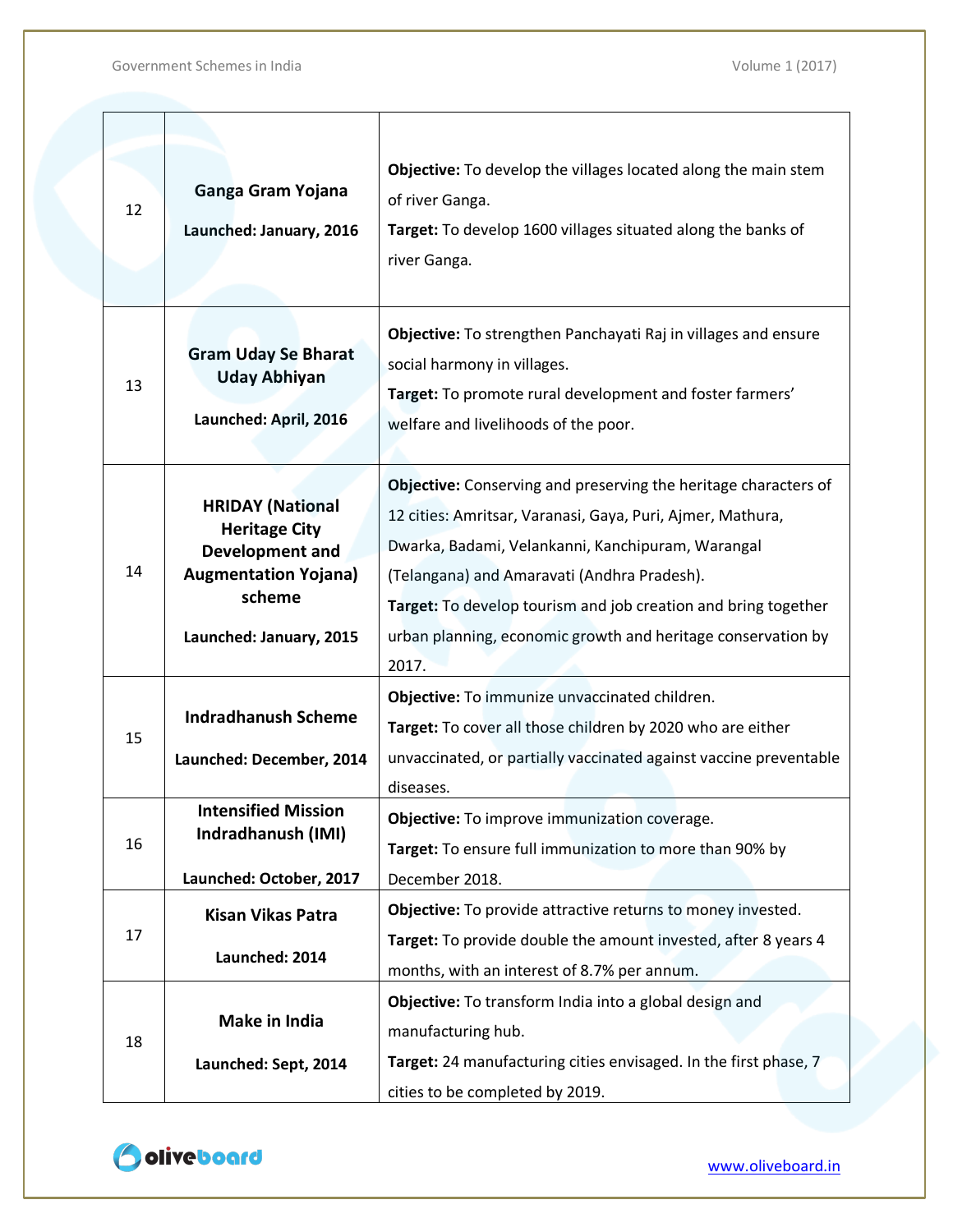|    |                                         | Objective: To develop the villages located along the main stem         |
|----|-----------------------------------------|------------------------------------------------------------------------|
| 12 | Ganga Gram Yojana                       | of river Ganga.                                                        |
|    | Launched: January, 2016                 | Target: To develop 1600 villages situated along the banks of           |
|    |                                         | river Ganga.                                                           |
|    |                                         |                                                                        |
|    |                                         | Objective: To strengthen Panchayati Raj in villages and ensure         |
|    | <b>Gram Uday Se Bharat</b>              | social harmony in villages.                                            |
| 13 | <b>Uday Abhiyan</b>                     | Target: To promote rural development and foster farmers'               |
|    | Launched: April, 2016                   | welfare and livelihoods of the poor.                                   |
|    |                                         |                                                                        |
|    |                                         | <b>Objective:</b> Conserving and preserving the heritage characters of |
|    | <b>HRIDAY (National</b>                 | 12 cities: Amritsar, Varanasi, Gaya, Puri, Ajmer, Mathura,             |
|    | <b>Heritage City</b><br>Development and | Dwarka, Badami, Velankanni, Kanchipuram, Warangal                      |
| 14 | <b>Augmentation Yojana)</b>             | (Telangana) and Amaravati (Andhra Pradesh).                            |
|    | scheme<br>Launched: January, 2015       | Target: To develop tourism and job creation and bring together         |
|    |                                         | urban planning, economic growth and heritage conservation by           |
|    |                                         | 2017.                                                                  |
|    |                                         | Objective: To immunize unvaccinated children.                          |
| 15 | <b>Indradhanush Scheme</b>              | Target: To cover all those children by 2020 who are either             |
|    | Launched: December, 2014                | unvaccinated, or partially vaccinated against vaccine preventable      |
|    |                                         | diseases.                                                              |
|    | <b>Intensified Mission</b>              | Objective: To improve immunization coverage.                           |
| 16 | Indradhanush (IMI)                      | Target: To ensure full immunization to more than 90% by                |
|    | Launched: October, 2017                 | December 2018.                                                         |
|    | <b>Kisan Vikas Patra</b>                | Objective: To provide attractive returns to money invested.            |
| 17 |                                         | Target: To provide double the amount invested, after 8 years 4         |
|    | Launched: 2014                          | months, with an interest of 8.7% per annum.                            |
|    |                                         | Objective: To transform India into a global design and                 |
| 18 | Make in India                           | manufacturing hub.                                                     |
|    | Launched: Sept, 2014                    | Target: 24 manufacturing cities envisaged. In the first phase, 7       |
|    |                                         | cities to be completed by 2019.                                        |

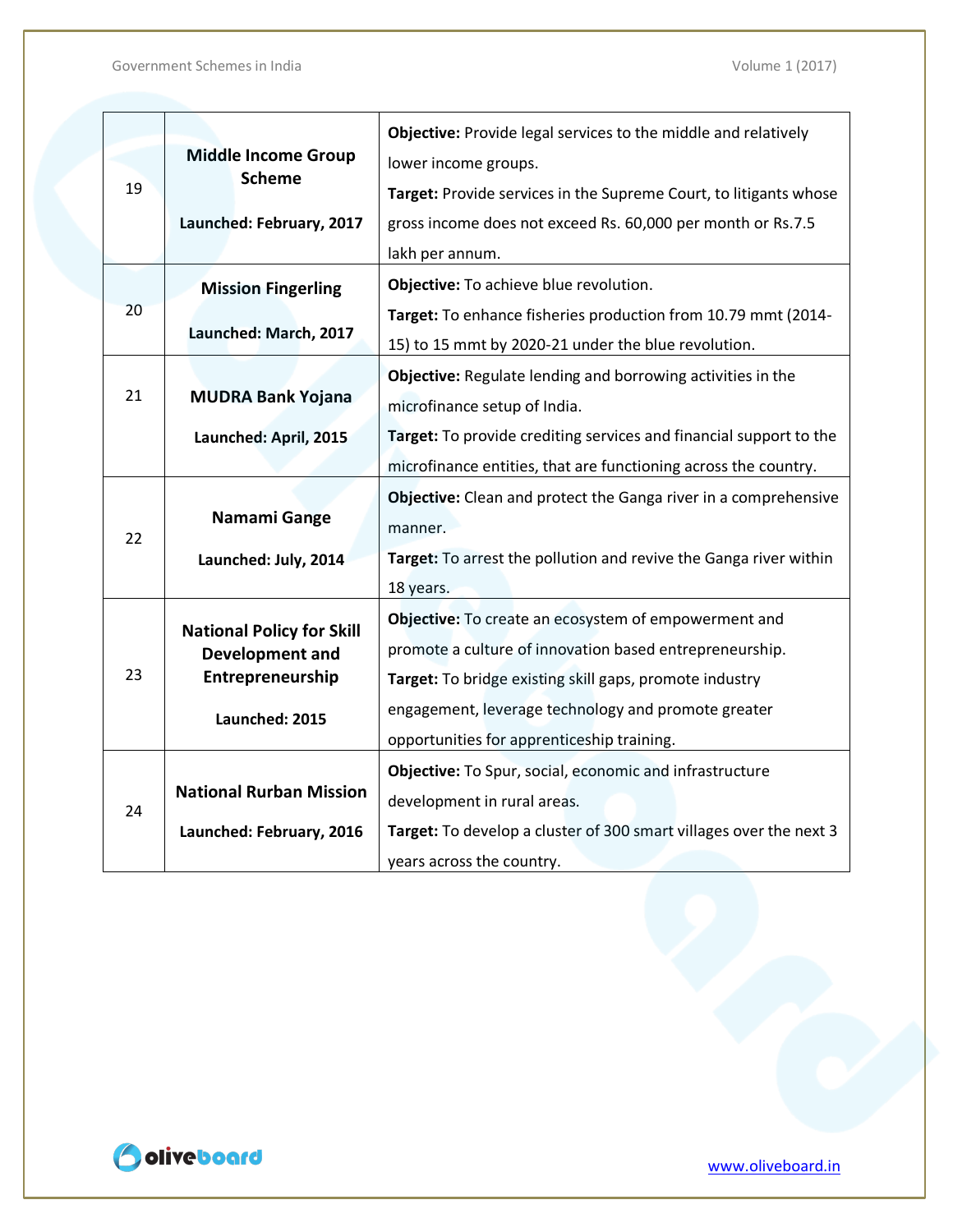|    |                                  | <b>Objective:</b> Provide legal services to the middle and relatively |
|----|----------------------------------|-----------------------------------------------------------------------|
|    | <b>Middle Income Group</b>       | lower income groups.                                                  |
| 19 | <b>Scheme</b>                    | Target: Provide services in the Supreme Court, to litigants whose     |
|    | Launched: February, 2017         | gross income does not exceed Rs. 60,000 per month or Rs.7.5           |
|    |                                  | lakh per annum.                                                       |
|    | <b>Mission Fingerling</b>        | Objective: To achieve blue revolution.                                |
| 20 |                                  | Target: To enhance fisheries production from 10.79 mmt (2014-         |
|    | Launched: March, 2017            | 15) to 15 mmt by 2020-21 under the blue revolution.                   |
|    |                                  | Objective: Regulate lending and borrowing activities in the           |
| 21 | <b>MUDRA Bank Yojana</b>         | microfinance setup of India.                                          |
|    | Launched: April, 2015            | Target: To provide crediting services and financial support to the    |
|    |                                  | microfinance entities, that are functioning across the country.       |
|    |                                  | Objective: Clean and protect the Ganga river in a comprehensive       |
| 22 | Namami Gange                     | manner.                                                               |
|    | Launched: July, 2014             | Target: To arrest the pollution and revive the Ganga river within     |
|    |                                  | 18 years.                                                             |
|    | <b>National Policy for Skill</b> | Objective: To create an ecosystem of empowerment and                  |
|    | <b>Development and</b>           | promote a culture of innovation based entrepreneurship.               |
| 23 | Entrepreneurship                 | Target: To bridge existing skill gaps, promote industry               |
|    | Launched: 2015                   | engagement, leverage technology and promote greater                   |
|    |                                  | opportunities for apprenticeship training.                            |
|    |                                  | Objective: To Spur, social, economic and infrastructure               |
| 24 | <b>National Rurban Mission</b>   | development in rural areas.                                           |
|    | Launched: February, 2016         | Target: To develop a cluster of 300 smart villages over the next 3    |
|    |                                  | years across the country.                                             |

Odiveboard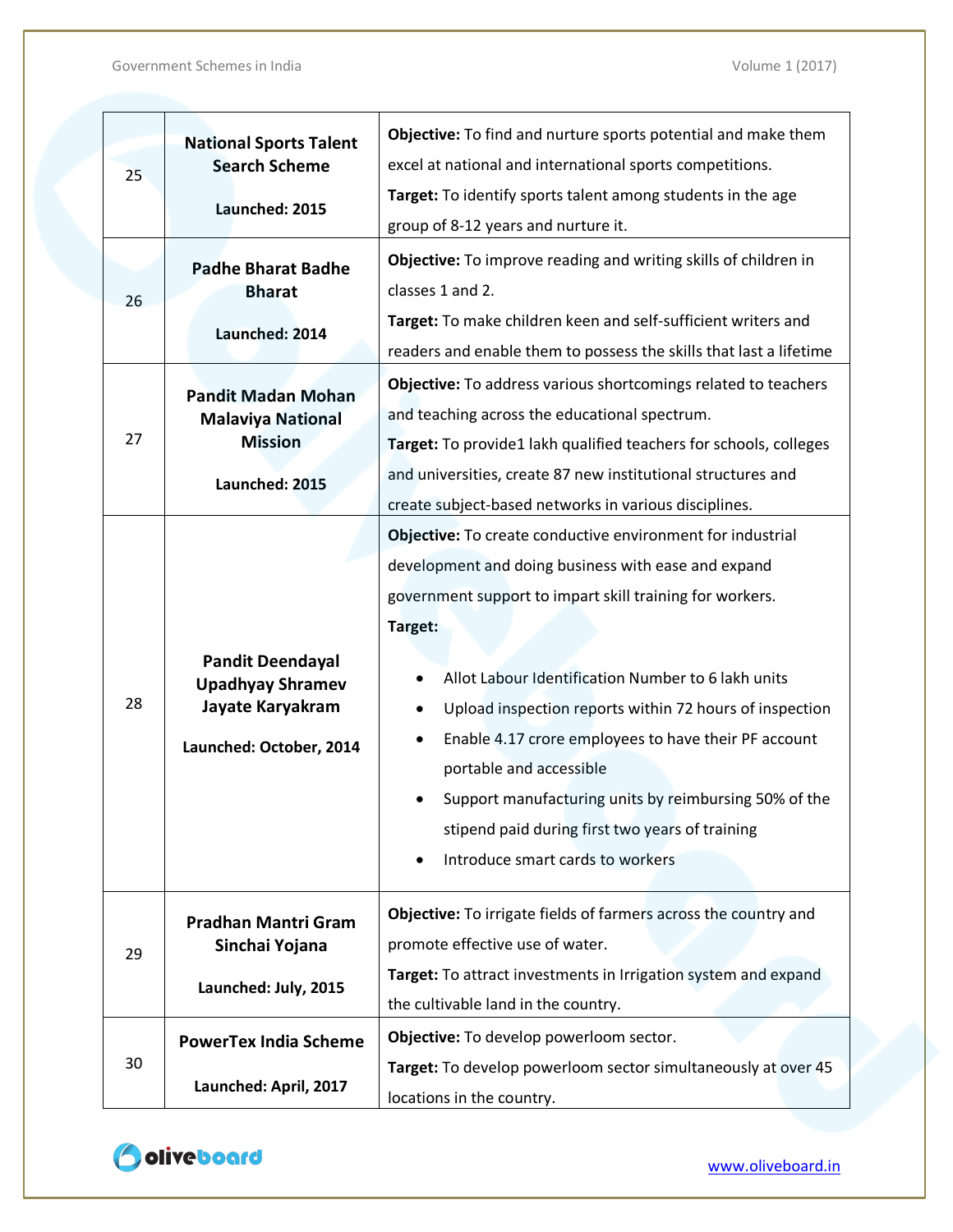| 25<br>26 | <b>National Sports Talent</b><br><b>Search Scheme</b><br>Launched: 2015<br><b>Padhe Bharat Badhe</b><br><b>Bharat</b><br>Launched: 2014 | Objective: To find and nurture sports potential and make them<br>excel at national and international sports competitions.<br>Target: To identify sports talent among students in the age<br>group of 8-12 years and nurture it.<br>Objective: To improve reading and writing skills of children in<br>classes 1 and 2.<br>Target: To make children keen and self-sufficient writers and<br>readers and enable them to possess the skills that last a lifetime                                                                                |
|----------|-----------------------------------------------------------------------------------------------------------------------------------------|----------------------------------------------------------------------------------------------------------------------------------------------------------------------------------------------------------------------------------------------------------------------------------------------------------------------------------------------------------------------------------------------------------------------------------------------------------------------------------------------------------------------------------------------|
| 27       | <b>Pandit Madan Mohan</b><br><b>Malaviya National</b><br><b>Mission</b><br>Launched: 2015                                               | Objective: To address various shortcomings related to teachers<br>and teaching across the educational spectrum.<br>Target: To provide1 lakh qualified teachers for schools, colleges<br>and universities, create 87 new institutional structures and<br>create subject-based networks in various disciplines.                                                                                                                                                                                                                                |
| 28       | <b>Pandit Deendayal</b><br><b>Upadhyay Shramev</b><br>Jayate Karyakram<br>Launched: October, 2014                                       | Objective: To create conductive environment for industrial<br>development and doing business with ease and expand<br>government support to impart skill training for workers.<br>Target:<br>Allot Labour Identification Number to 6 lakh units<br>Upload inspection reports within 72 hours of inspection<br>Enable 4.17 crore employees to have their PF account<br>portable and accessible<br>Support manufacturing units by reimbursing 50% of the<br>stipend paid during first two years of training<br>Introduce smart cards to workers |
| 29       | <b>Pradhan Mantri Gram</b><br>Sinchai Yojana<br>Launched: July, 2015                                                                    | Objective: To irrigate fields of farmers across the country and<br>promote effective use of water.<br>Target: To attract investments in Irrigation system and expand<br>the cultivable land in the country.                                                                                                                                                                                                                                                                                                                                  |
| 30       | <b>PowerTex India Scheme</b><br>Launched: April, 2017                                                                                   | Objective: To develop powerloom sector.<br>Target: To develop powerloom sector simultaneously at over 45<br>locations in the country.                                                                                                                                                                                                                                                                                                                                                                                                        |

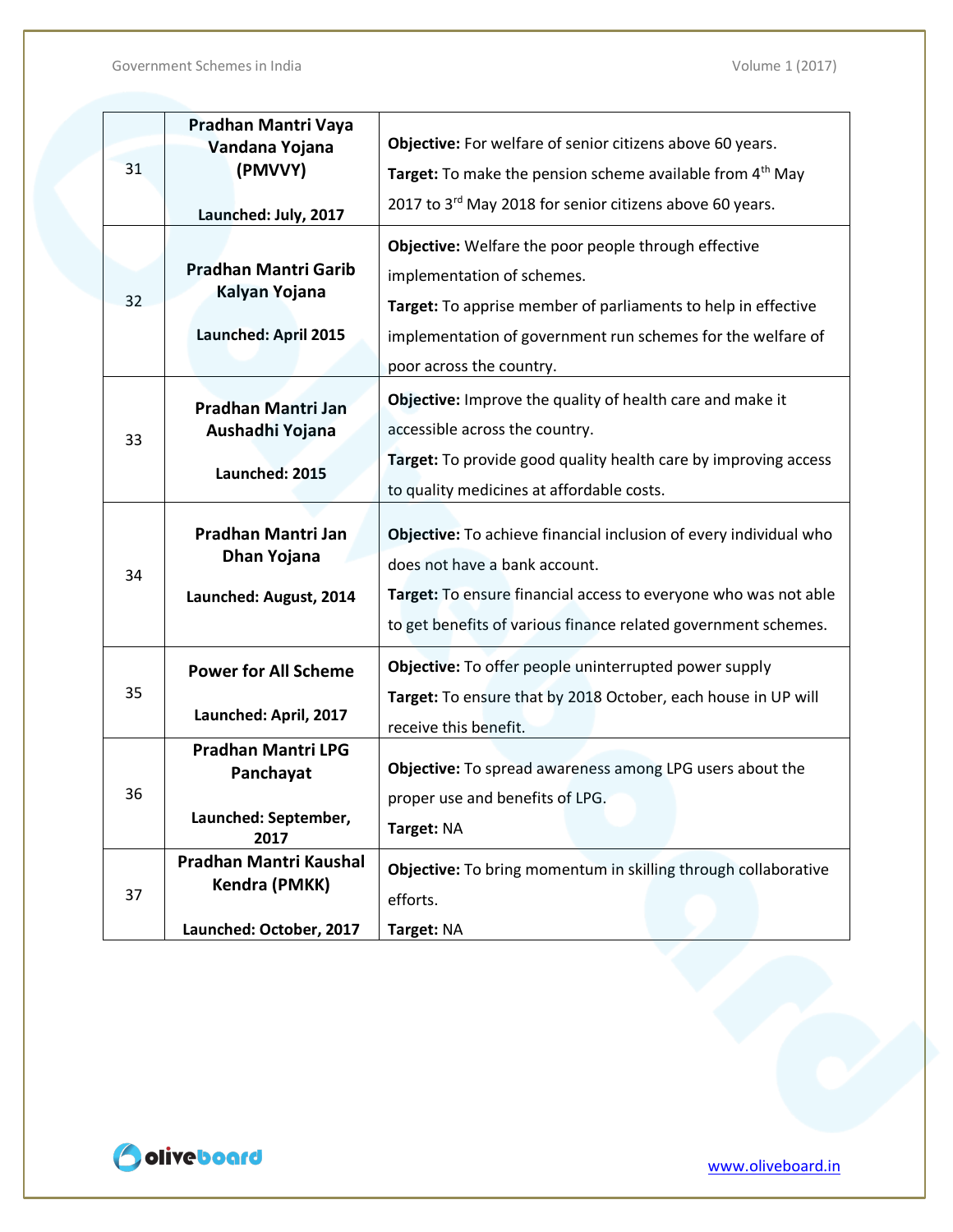|    | Pradhan Mantri Vaya                     |                                                                       |
|----|-----------------------------------------|-----------------------------------------------------------------------|
|    | Vandana Yojana                          | Objective: For welfare of senior citizens above 60 years.             |
| 31 | (PMVVY)                                 | Target: To make the pension scheme available from 4 <sup>th</sup> May |
|    | Launched: July, 2017                    | 2017 to 3rd May 2018 for senior citizens above 60 years.              |
|    |                                         | Objective: Welfare the poor people through effective                  |
|    | <b>Pradhan Mantri Garib</b>             | implementation of schemes.                                            |
| 32 | Kalyan Yojana                           | Target: To apprise member of parliaments to help in effective         |
|    | Launched: April 2015                    | implementation of government run schemes for the welfare of           |
|    |                                         | poor across the country.                                              |
|    | Pradhan Mantri Jan                      | <b>Objective:</b> Improve the quality of health care and make it      |
| 33 | Aushadhi Yojana                         | accessible across the country.                                        |
|    | Launched: 2015                          | Target: To provide good quality health care by improving access       |
|    |                                         | to quality medicines at affordable costs.                             |
|    |                                         |                                                                       |
|    | Pradhan Mantri Jan<br>Dhan Yojana       | Objective: To achieve financial inclusion of every individual who     |
| 34 |                                         | does not have a bank account.                                         |
|    | Launched: August, 2014                  | Target: To ensure financial access to everyone who was not able       |
|    |                                         | to get benefits of various finance related government schemes.        |
|    | <b>Power for All Scheme</b>             | Objective: To offer people uninterrupted power supply                 |
| 35 |                                         | Target: To ensure that by 2018 October, each house in UP will         |
|    | Launched: April, 2017                   | receive this benefit.                                                 |
|    | <b>Pradhan Mantri LPG</b><br>Panchayat  | Objective: To spread awareness among LPG users about the              |
| 36 |                                         | proper use and benefits of LPG.                                       |
|    | Launched: September,                    | Target: NA                                                            |
|    | 2017                                    |                                                                       |
|    | Pradhan Mantri Kaushal<br>Kendra (PMKK) | Objective: To bring momentum in skilling through collaborative        |
| 37 |                                         | efforts.                                                              |
|    | Launched: October, 2017                 | Target: NA                                                            |

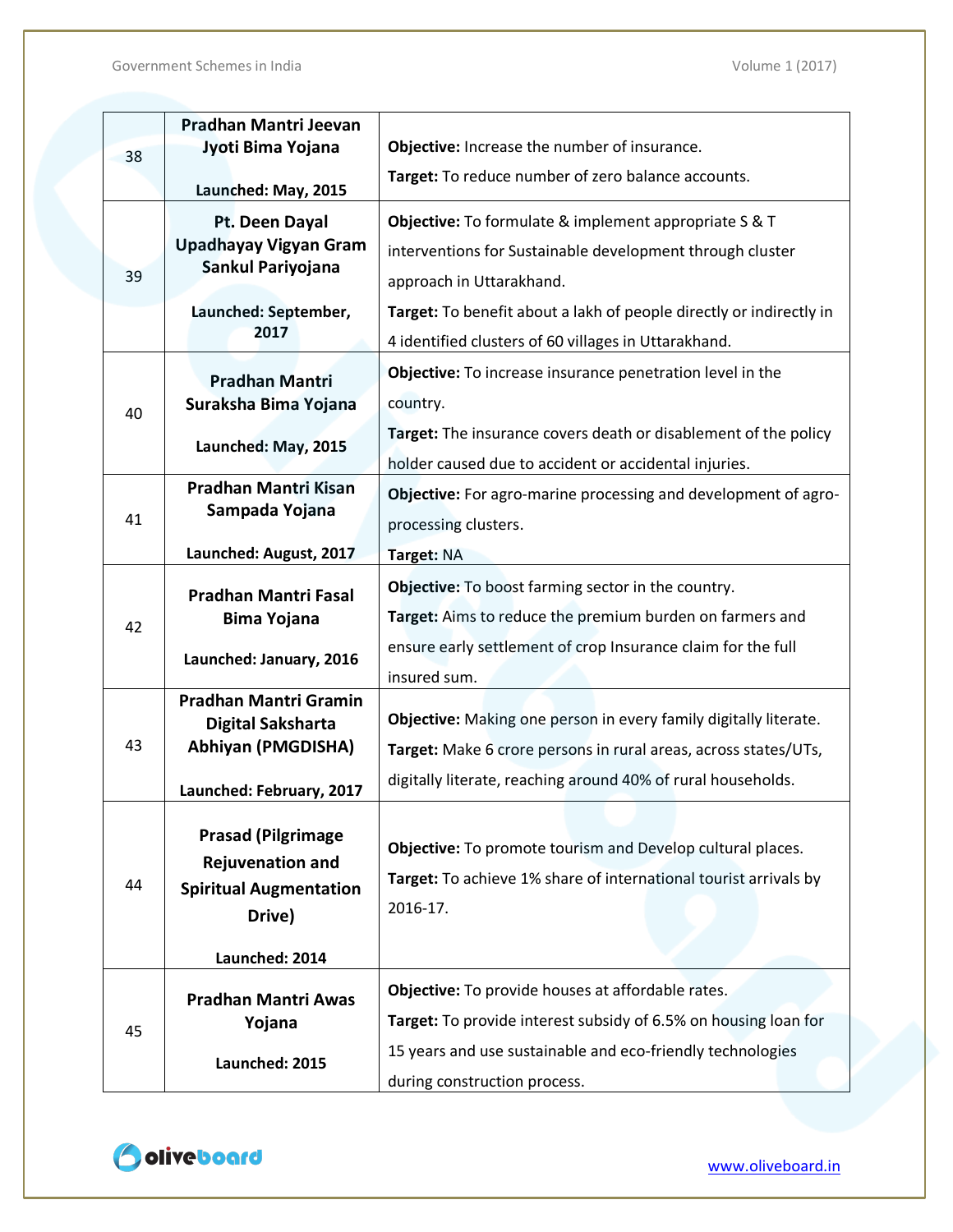|    | Pradhan Mantri Jeevan                                                                            |                                                                                                                                            |
|----|--------------------------------------------------------------------------------------------------|--------------------------------------------------------------------------------------------------------------------------------------------|
| 38 | Jyoti Bima Yojana                                                                                | Objective: Increase the number of insurance.                                                                                               |
|    | Launched: May, 2015                                                                              | Target: To reduce number of zero balance accounts.                                                                                         |
|    | Pt. Deen Dayal                                                                                   | Objective: To formulate & implement appropriate S & T                                                                                      |
|    | <b>Upadhayay Vigyan Gram</b>                                                                     | interventions for Sustainable development through cluster                                                                                  |
| 39 | Sankul Pariyojana                                                                                | approach in Uttarakhand.                                                                                                                   |
|    | Launched: September,                                                                             | Target: To benefit about a lakh of people directly or indirectly in                                                                        |
|    | 2017                                                                                             | 4 identified clusters of 60 villages in Uttarakhand.                                                                                       |
|    | <b>Pradhan Mantri</b>                                                                            | Objective: To increase insurance penetration level in the                                                                                  |
| 40 | Suraksha Bima Yojana                                                                             | country.                                                                                                                                   |
|    |                                                                                                  | Target: The insurance covers death or disablement of the policy                                                                            |
|    | Launched: May, 2015                                                                              | holder caused due to accident or accidental injuries.                                                                                      |
|    | <b>Pradhan Mantri Kisan</b>                                                                      | Objective: For agro-marine processing and development of agro-                                                                             |
| 41 | Sampada Yojana                                                                                   | processing clusters.                                                                                                                       |
|    | Launched: August, 2017                                                                           | Target: NA                                                                                                                                 |
|    | <b>Pradhan Mantri Fasal</b>                                                                      | <b>Objective:</b> To boost farming sector in the country.                                                                                  |
| 42 | <b>Bima Yojana</b>                                                                               | Target: Aims to reduce the premium burden on farmers and                                                                                   |
|    | Launched: January, 2016                                                                          | ensure early settlement of crop Insurance claim for the full                                                                               |
|    |                                                                                                  | insured sum.                                                                                                                               |
|    | <b>Pradhan Mantri Gramin</b>                                                                     |                                                                                                                                            |
| 43 | <b>Digital Saksharta</b>                                                                         | Objective: Making one person in every family digitally literate.                                                                           |
|    | <b>Abhiyan (PMGDISHA)</b>                                                                        | Target: Make 6 crore persons in rural areas, across states/UTs,                                                                            |
|    | Launched: February, 2017                                                                         | digitally literate, reaching around 40% of rural households.                                                                               |
| 44 | <b>Prasad (Pilgrimage)</b><br><b>Rejuvenation and</b><br><b>Spiritual Augmentation</b><br>Drive) | Objective: To promote tourism and Develop cultural places.<br>Target: To achieve 1% share of international tourist arrivals by<br>2016-17. |
|    | Launched: 2014                                                                                   |                                                                                                                                            |
| 45 | <b>Pradhan Mantri Awas</b>                                                                       | Objective: To provide houses at affordable rates.                                                                                          |
|    | Yojana                                                                                           | Target: To provide interest subsidy of 6.5% on housing loan for                                                                            |
|    | Launched: 2015                                                                                   | 15 years and use sustainable and eco-friendly technologies                                                                                 |
|    |                                                                                                  | during construction process.                                                                                                               |

Odiveboard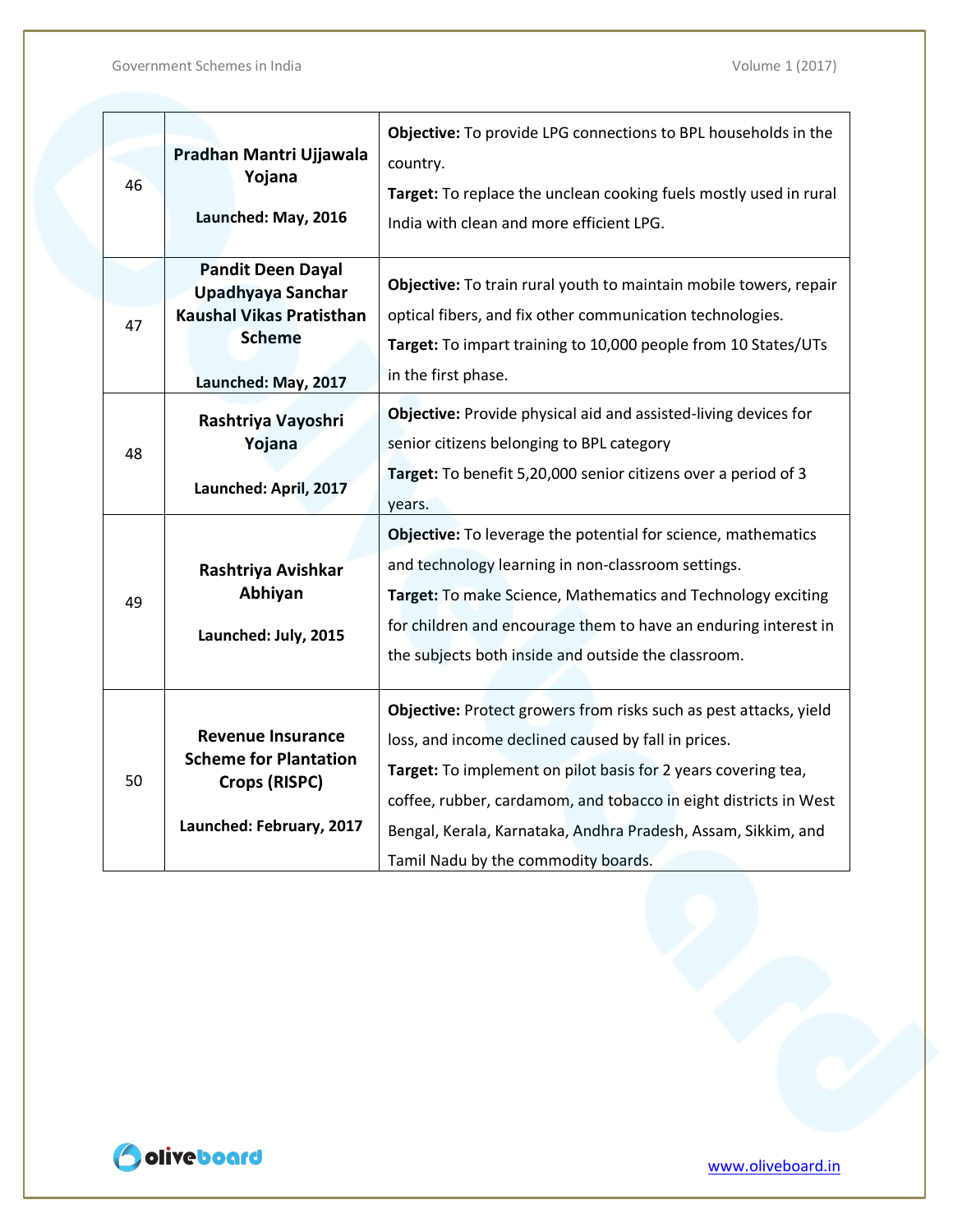|    |                                               | Objective: To provide LPG connections to BPL households in the                                                |
|----|-----------------------------------------------|---------------------------------------------------------------------------------------------------------------|
|    | Pradhan Mantri Ujjawala                       | country.                                                                                                      |
| 46 | Yojana<br>Launched: May, 2016                 | Target: To replace the unclean cooking fuels mostly used in rural<br>India with clean and more efficient LPG. |
|    | <b>Pandit Deen Dayal</b>                      |                                                                                                               |
|    | Upadhyaya Sanchar                             | Objective: To train rural youth to maintain mobile towers, repair                                             |
| 47 | <b>Kaushal Vikas Pratisthan</b>               | optical fibers, and fix other communication technologies.                                                     |
|    | <b>Scheme</b>                                 | Target: To impart training to 10,000 people from 10 States/UTs                                                |
|    | Launched: May, 2017                           | in the first phase.                                                                                           |
|    | Rashtriya Vayoshri                            | Objective: Provide physical aid and assisted-living devices for                                               |
|    | Yojana                                        | senior citizens belonging to BPL category                                                                     |
| 48 |                                               | Target: To benefit 5,20,000 senior citizens over a period of 3                                                |
|    | Launched: April, 2017                         | years.                                                                                                        |
|    |                                               | Objective: To leverage the potential for science, mathematics                                                 |
|    | Rashtriya Avishkar                            | and technology learning in non-classroom settings.                                                            |
| 49 | Abhiyan                                       | Target: To make Science, Mathematics and Technology exciting                                                  |
|    | Launched: July, 2015                          | for children and encourage them to have an enduring interest in                                               |
|    |                                               | the subjects both inside and outside the classroom.                                                           |
|    |                                               |                                                                                                               |
|    |                                               | Objective: Protect growers from risks such as pest attacks, yield                                             |
| 50 | <b>Revenue Insurance</b>                      | loss, and income declined caused by fall in prices.                                                           |
|    | <b>Scheme for Plantation</b><br>Crops (RISPC) | Target: To implement on pilot basis for 2 years covering tea,                                                 |
|    |                                               | coffee, rubber, cardamom, and tobacco in eight districts in West                                              |
|    | Launched: February, 2017                      | Bengal, Kerala, Karnataka, Andhra Pradesh, Assam, Sikkim, and                                                 |
|    |                                               | Tamil Nadu by the commodity boards.                                                                           |

Odiveboard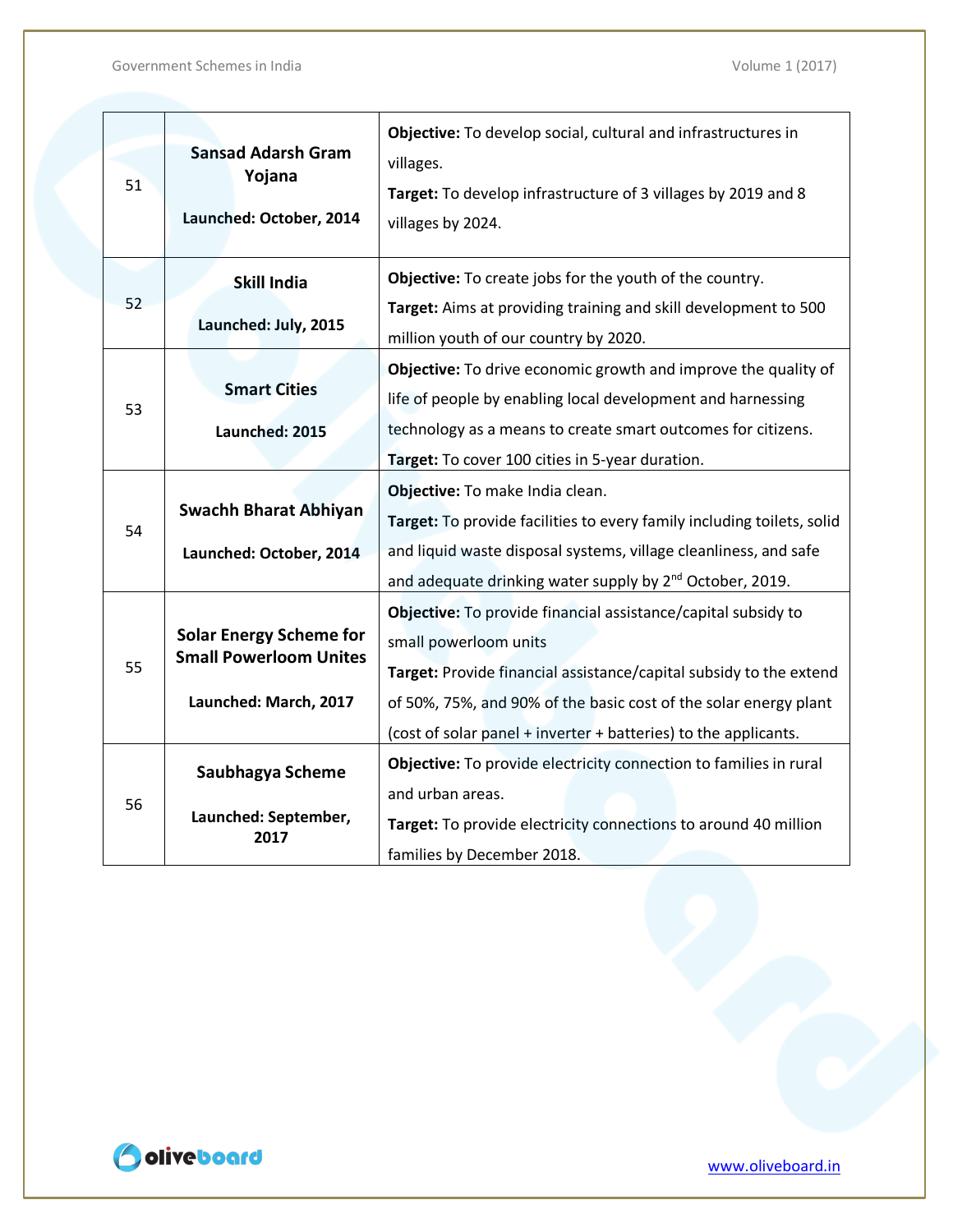| 51 | <b>Sansad Adarsh Gram</b><br>Yojana<br>Launched: October, 2014  | Objective: To develop social, cultural and infrastructures in<br>villages.<br>Target: To develop infrastructure of 3 villages by 2019 and 8<br>villages by 2024. |
|----|-----------------------------------------------------------------|------------------------------------------------------------------------------------------------------------------------------------------------------------------|
|    | <b>Skill India</b>                                              | Objective: To create jobs for the youth of the country.                                                                                                          |
| 52 | Launched: July, 2015                                            | Target: Aims at providing training and skill development to 500<br>million youth of our country by 2020.                                                         |
|    |                                                                 | Objective: To drive economic growth and improve the quality of                                                                                                   |
| 53 | <b>Smart Cities</b>                                             | life of people by enabling local development and harnessing                                                                                                      |
|    | Launched: 2015                                                  | technology as a means to create smart outcomes for citizens.                                                                                                     |
|    |                                                                 | Target: To cover 100 cities in 5-year duration.                                                                                                                  |
|    |                                                                 | Objective: To make India clean.                                                                                                                                  |
| 54 | <b>Swachh Bharat Abhiyan</b>                                    | Target: To provide facilities to every family including toilets, solid                                                                                           |
|    | Launched: October, 2014                                         | and liquid waste disposal systems, village cleanliness, and safe                                                                                                 |
|    |                                                                 | and adequate drinking water supply by 2 <sup>nd</sup> October, 2019.                                                                                             |
|    |                                                                 | Objective: To provide financial assistance/capital subsidy to                                                                                                    |
|    | <b>Solar Energy Scheme for</b><br><b>Small Powerloom Unites</b> | small powerloom units                                                                                                                                            |
| 55 |                                                                 | Target: Provide financial assistance/capital subsidy to the extend                                                                                               |
|    | Launched: March, 2017                                           | of 50%, 75%, and 90% of the basic cost of the solar energy plant                                                                                                 |
|    |                                                                 | (cost of solar panel + inverter + batteries) to the applicants.                                                                                                  |
| 56 | Saubhagya Scheme                                                | Objective: To provide electricity connection to families in rural                                                                                                |
|    |                                                                 | and urban areas.                                                                                                                                                 |
|    | Launched: September,<br>2017                                    | Target: To provide electricity connections to around 40 million                                                                                                  |
|    |                                                                 | families by December 2018.                                                                                                                                       |

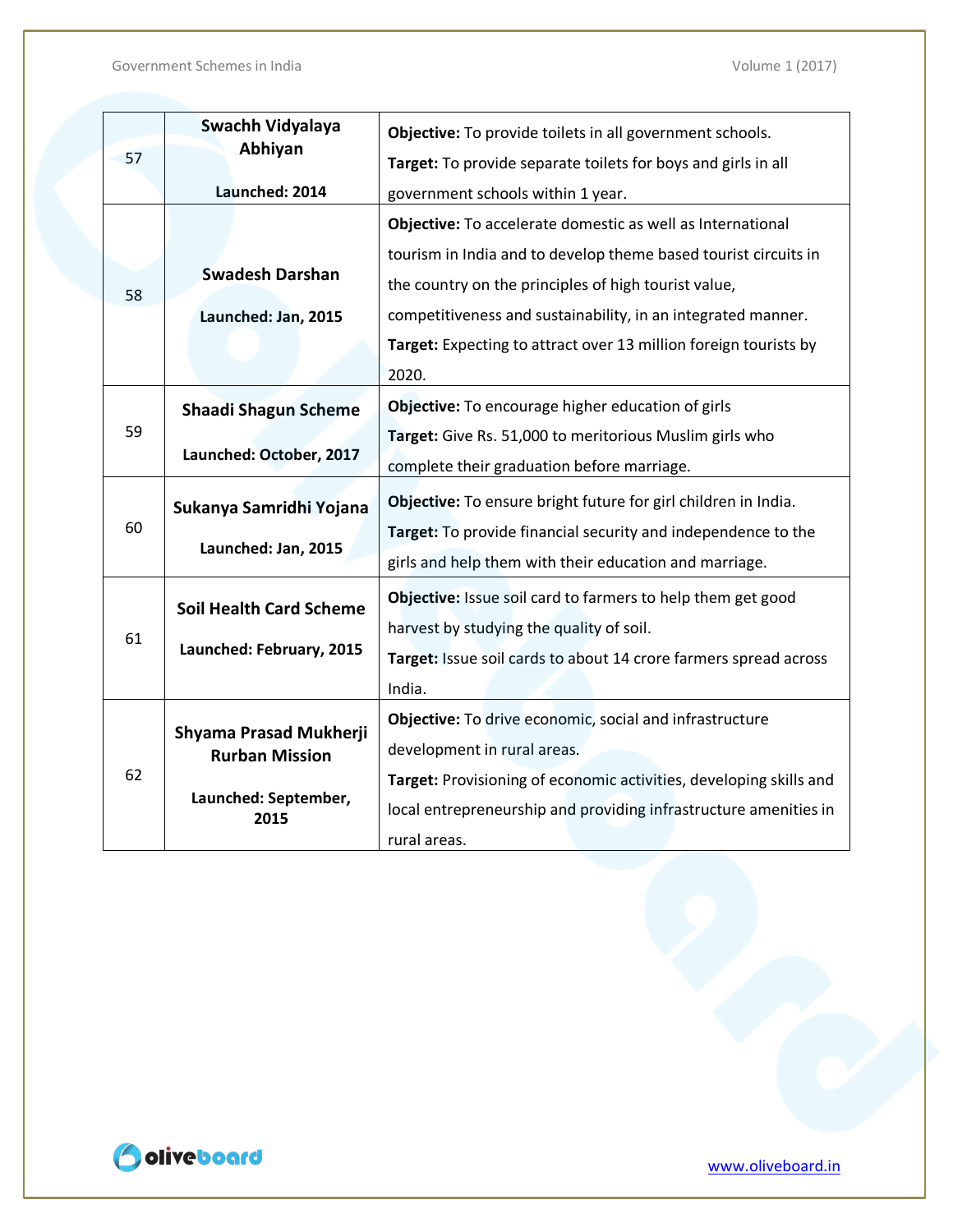|    | Swachh Vidyalaya               | Objective: To provide toilets in all government schools.           |
|----|--------------------------------|--------------------------------------------------------------------|
| 57 | Abhiyan                        | Target: To provide separate toilets for boys and girls in all      |
|    | Launched: 2014                 | government schools within 1 year.                                  |
|    |                                | Objective: To accelerate domestic as well as International         |
|    |                                | tourism in India and to develop theme based tourist circuits in    |
| 58 | <b>Swadesh Darshan</b>         | the country on the principles of high tourist value,               |
|    | Launched: Jan, 2015            | competitiveness and sustainability, in an integrated manner.       |
|    |                                | Target: Expecting to attract over 13 million foreign tourists by   |
|    |                                | 2020.                                                              |
|    | <b>Shaadi Shagun Scheme</b>    | Objective: To encourage higher education of girls                  |
| 59 |                                | Target: Give Rs. 51,000 to meritorious Muslim girls who            |
|    | Launched: October, 2017        | complete their graduation before marriage.                         |
|    | Sukanya Samridhi Yojana        | Objective: To ensure bright future for girl children in India.     |
| 60 |                                | Target: To provide financial security and independence to the      |
|    | Launched: Jan, 2015            | girls and help them with their education and marriage.             |
|    | <b>Soil Health Card Scheme</b> | Objective: Issue soil card to farmers to help them get good        |
|    |                                | harvest by studying the quality of soil.                           |
| 61 | Launched: February, 2015       | Target: Issue soil cards to about 14 crore farmers spread across   |
|    |                                | India.                                                             |
|    |                                | Objective: To drive economic, social and infrastructure            |
| 62 | Shyama Prasad Mukherji         | development in rural areas.                                        |
|    | <b>Rurban Mission</b>          | Target: Provisioning of economic activities, developing skills and |
|    | Launched: September,<br>2015   | local entrepreneurship and providing infrastructure amenities in   |
|    |                                | rural areas.                                                       |

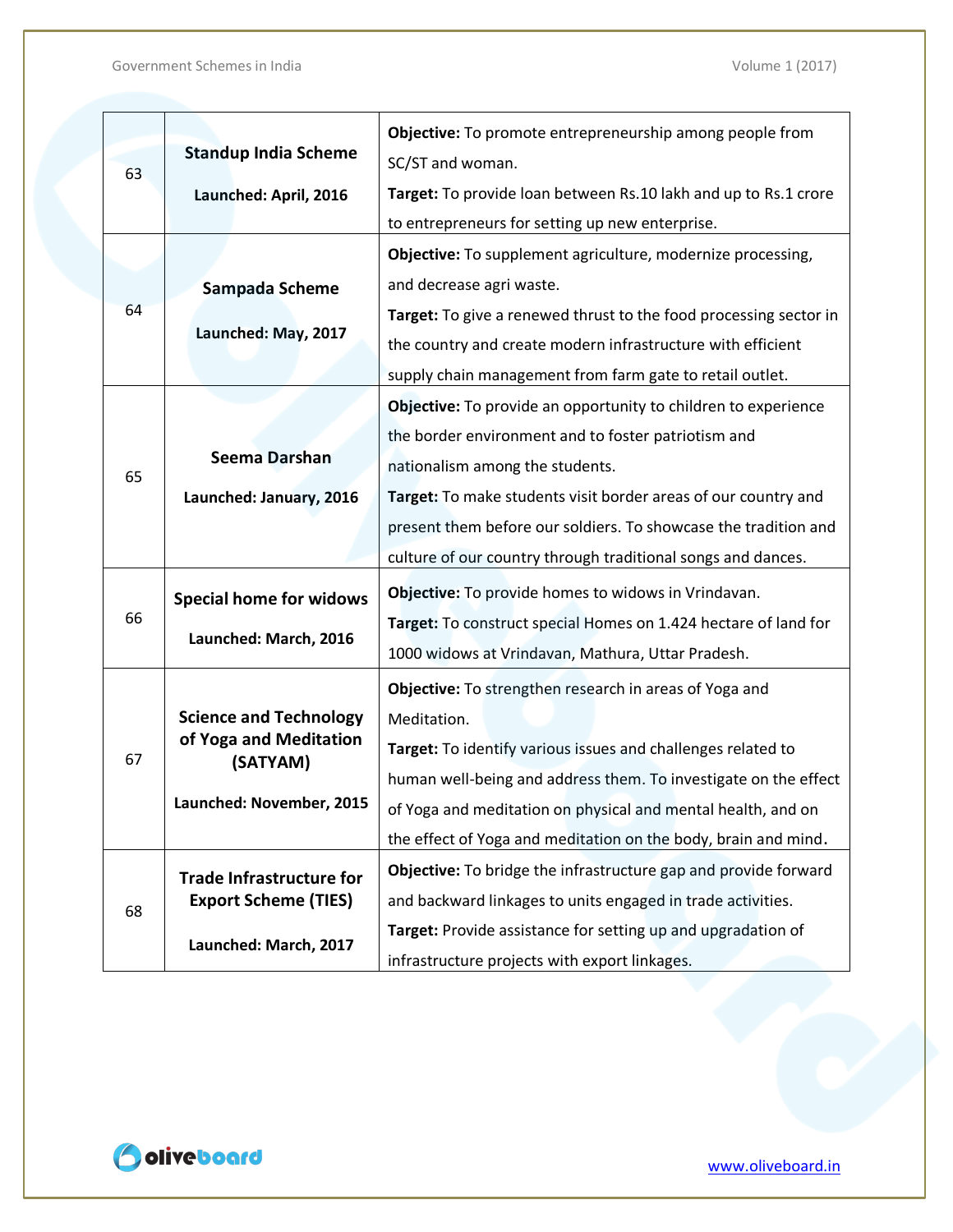|    |                                    | Objective: To promote entrepreneurship among people from          |
|----|------------------------------------|-------------------------------------------------------------------|
|    | <b>Standup India Scheme</b>        | SC/ST and woman.                                                  |
| 63 | Launched: April, 2016              | Target: To provide loan between Rs.10 lakh and up to Rs.1 crore   |
|    |                                    | to entrepreneurs for setting up new enterprise.                   |
|    |                                    | Objective: To supplement agriculture, modernize processing,       |
|    | Sampada Scheme                     | and decrease agri waste.                                          |
| 64 |                                    | Target: To give a renewed thrust to the food processing sector in |
|    | Launched: May, 2017                | the country and create modern infrastructure with efficient       |
|    |                                    | supply chain management from farm gate to retail outlet.          |
|    |                                    | Objective: To provide an opportunity to children to experience    |
|    |                                    | the border environment and to foster patriotism and               |
|    | <b>Seema Darshan</b>               | nationalism among the students.                                   |
| 65 | Launched: January, 2016            | Target: To make students visit border areas of our country and    |
|    |                                    | present them before our soldiers. To showcase the tradition and   |
|    |                                    |                                                                   |
|    |                                    | culture of our country through traditional songs and dances.      |
|    | <b>Special home for widows</b>     | Objective: To provide homes to widows in Vrindavan.               |
| 66 | Launched: March, 2016              | Target: To construct special Homes on 1.424 hectare of land for   |
|    |                                    | 1000 widows at Vrindavan, Mathura, Uttar Pradesh.                 |
|    |                                    | Objective: To strengthen research in areas of Yoga and            |
|    | <b>Science and Technology</b>      | Meditation.                                                       |
| 67 | of Yoga and Meditation<br>(SATYAM) | Target: To identify various issues and challenges related to      |
|    |                                    | human well-being and address them. To investigate on the effect   |
|    | Launched: November, 2015           | of Yoga and meditation on physical and mental health, and on      |
|    |                                    | the effect of Yoga and meditation on the body, brain and mind.    |
| 68 | <b>Trade Infrastructure for</b>    | Objective: To bridge the infrastructure gap and provide forward   |
|    | <b>Export Scheme (TIES)</b>        | and backward linkages to units engaged in trade activities.       |
|    |                                    | Target: Provide assistance for setting up and upgradation of      |
|    | Launched: March, 2017              | infrastructure projects with export linkages.                     |

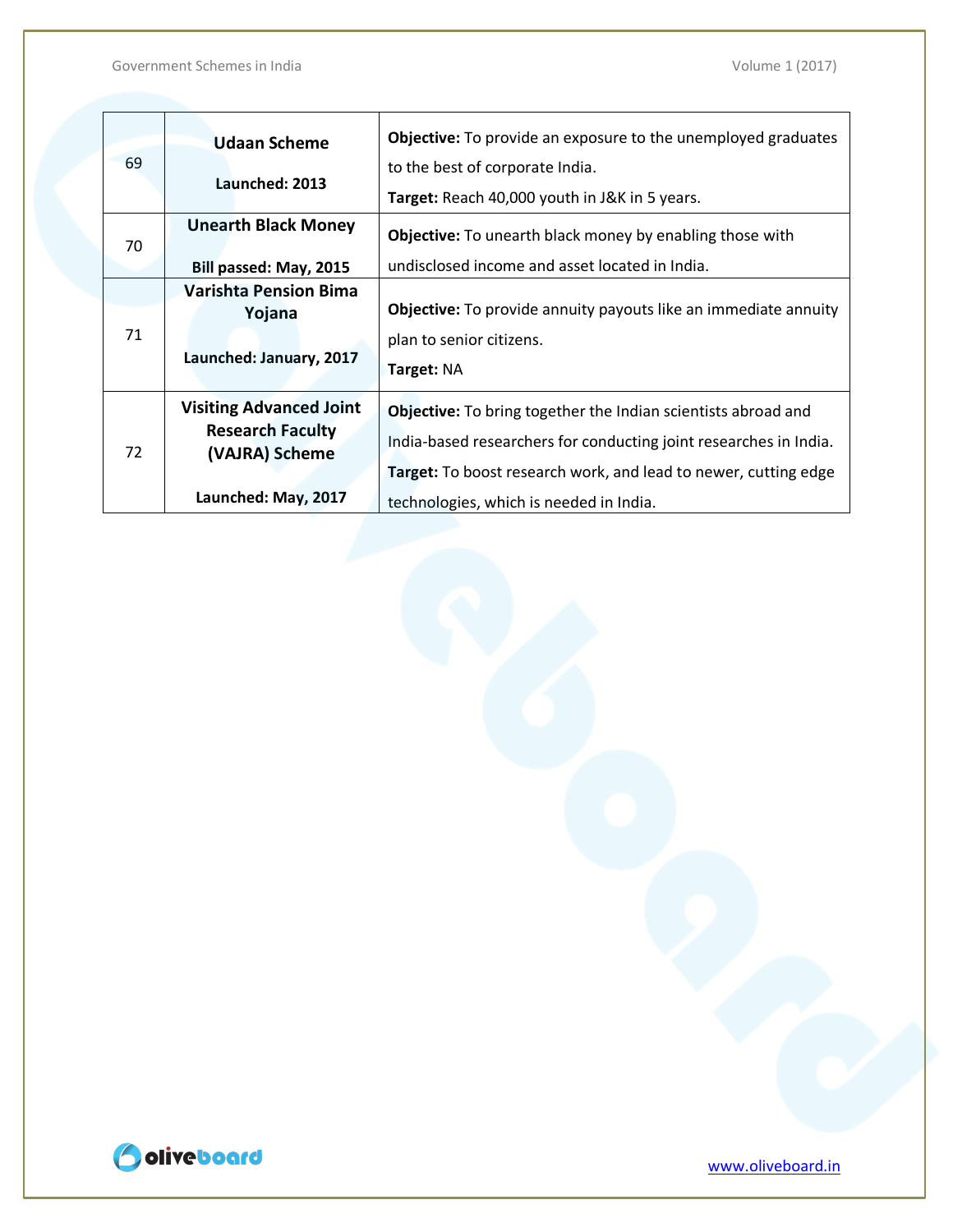| 69 | <b>Udaan Scheme</b><br>Launched: 2013                                                              | <b>Objective:</b> To provide an exposure to the unemployed graduates<br>to the best of corporate India.<br>Target: Reach 40,000 youth in J&K in 5 years.                                                                                                       |
|----|----------------------------------------------------------------------------------------------------|----------------------------------------------------------------------------------------------------------------------------------------------------------------------------------------------------------------------------------------------------------------|
| 70 | <b>Unearth Black Money</b><br>Bill passed: May, 2015                                               | <b>Objective:</b> To unearth black money by enabling those with<br>undisclosed income and asset located in India.                                                                                                                                              |
| 71 | <b>Varishta Pension Bima</b><br>Yojana<br>Launched: January, 2017                                  | <b>Objective:</b> To provide annuity payouts like an immediate annuity<br>plan to senior citizens.<br><b>Target: NA</b>                                                                                                                                        |
| 72 | <b>Visiting Advanced Joint</b><br><b>Research Faculty</b><br>(VAJRA) Scheme<br>Launched: May, 2017 | <b>Objective:</b> To bring together the Indian scientists abroad and<br>India-based researchers for conducting joint researches in India.<br><b>Target:</b> To boost research work, and lead to newer, cutting edge<br>technologies, which is needed in India. |

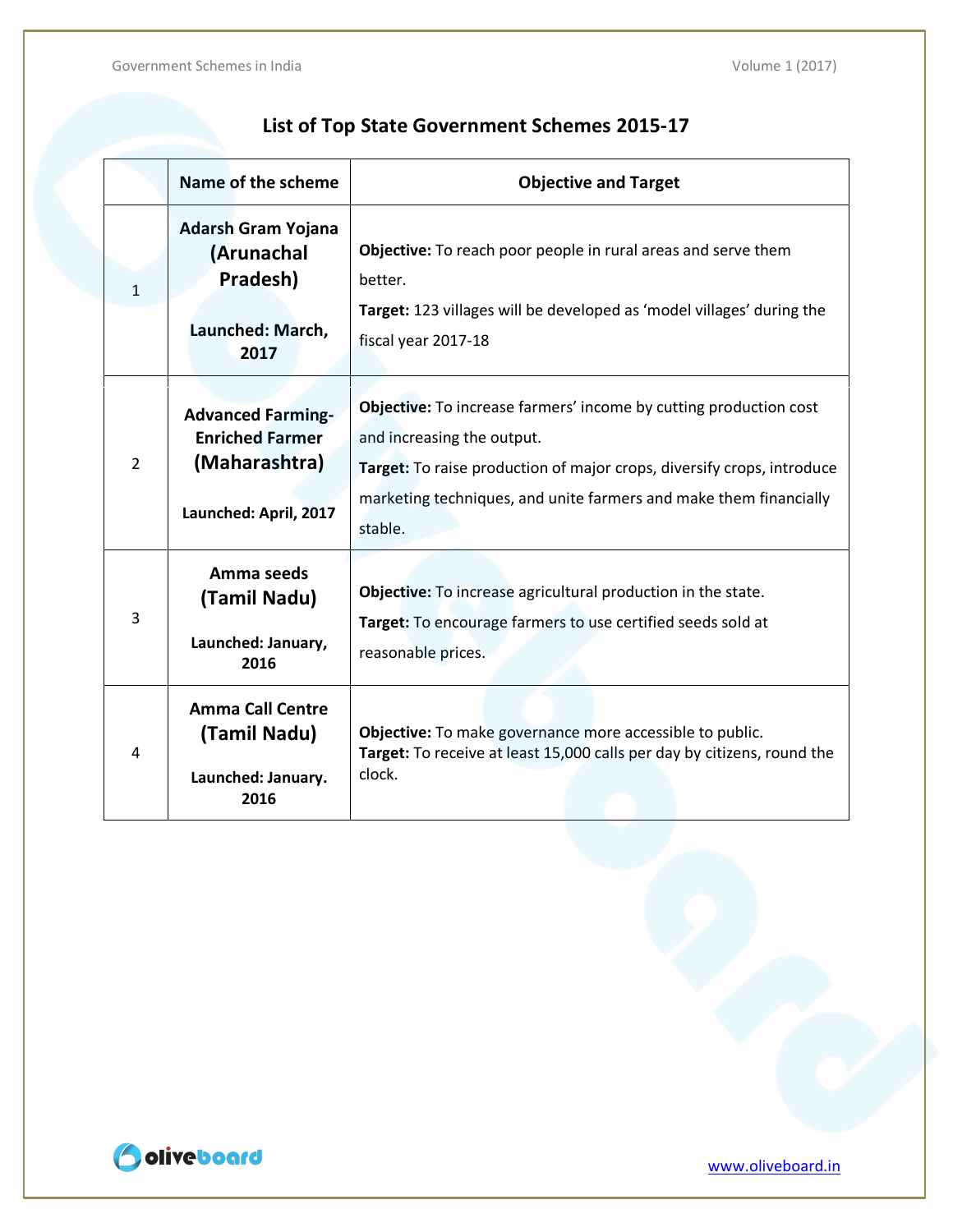|                | Name of the scheme                                                                           | <b>Objective and Target</b>                                                                                                                                                                                                                                      |
|----------------|----------------------------------------------------------------------------------------------|------------------------------------------------------------------------------------------------------------------------------------------------------------------------------------------------------------------------------------------------------------------|
| $\mathbf{1}$   | <b>Adarsh Gram Yojana</b><br>(Arunachal<br>Pradesh)<br>Launched: March,<br>2017              | Objective: To reach poor people in rural areas and serve them<br>better.<br>Target: 123 villages will be developed as 'model villages' during the<br>fiscal year 2017-18                                                                                         |
| $\overline{2}$ | <b>Advanced Farming-</b><br><b>Enriched Farmer</b><br>(Maharashtra)<br>Launched: April, 2017 | <b>Objective:</b> To increase farmers' income by cutting production cost<br>and increasing the output.<br>Target: To raise production of major crops, diversify crops, introduce<br>marketing techniques, and unite farmers and make them financially<br>stable. |
| 3              | Amma seeds<br>(Tamil Nadu)<br>Launched: January,<br>2016                                     | Objective: To increase agricultural production in the state.<br>Target: To encourage farmers to use certified seeds sold at<br>reasonable prices.                                                                                                                |
| 4              | <b>Amma Call Centre</b><br>(Tamil Nadu)<br>Launched: January.<br>2016                        | Objective: To make governance more accessible to public.<br>Target: To receive at least 15,000 calls per day by citizens, round the<br>clock.                                                                                                                    |

### **List of Top State Government Schemes 2015-17**

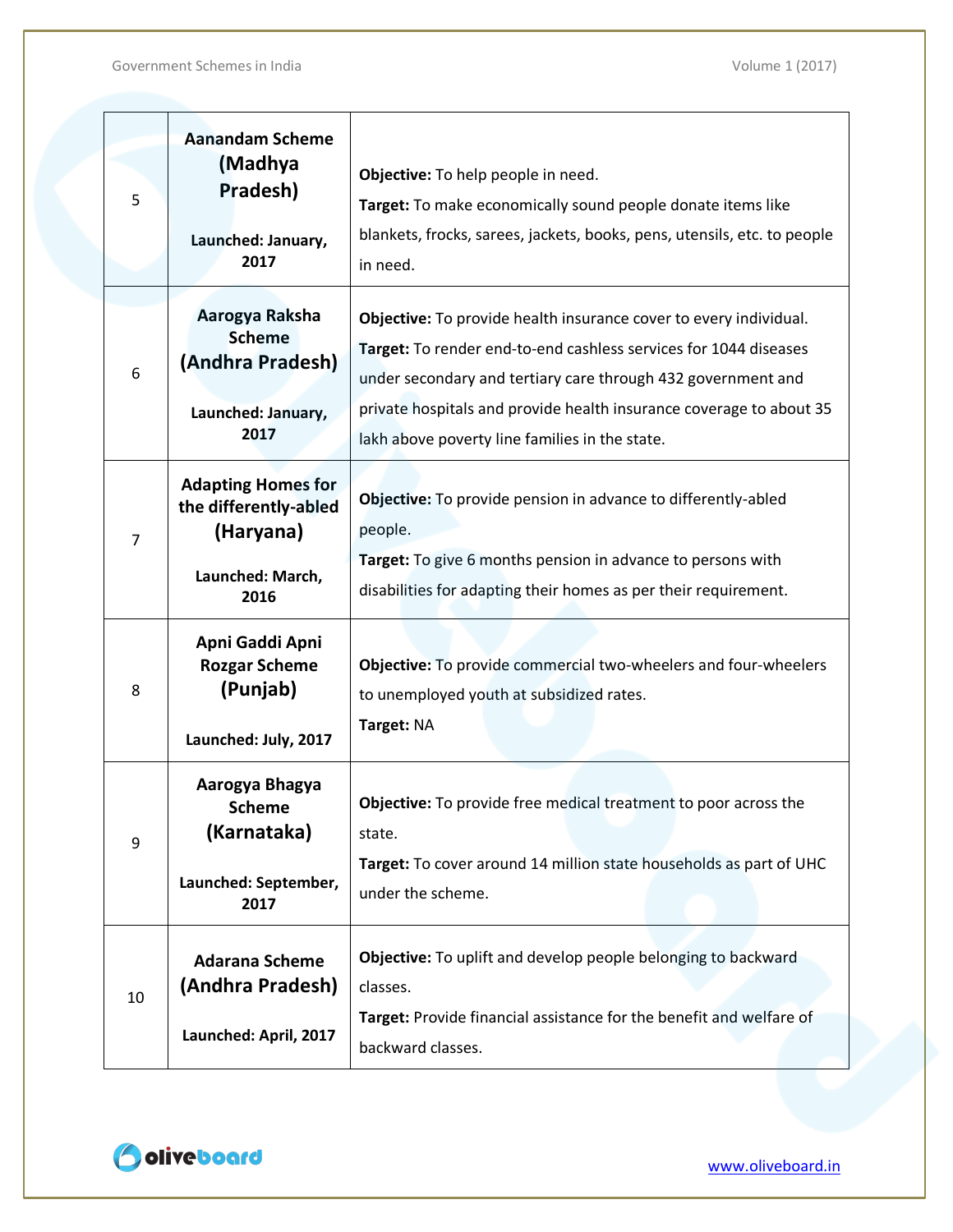| 5              | <b>Aanandam Scheme</b><br>(Madhya<br>Pradesh)<br>Launched: January,<br>2017                 | Objective: To help people in need.<br>Target: To make economically sound people donate items like<br>blankets, frocks, sarees, jackets, books, pens, utensils, etc. to people<br>in need.                                                                                                                                      |
|----------------|---------------------------------------------------------------------------------------------|--------------------------------------------------------------------------------------------------------------------------------------------------------------------------------------------------------------------------------------------------------------------------------------------------------------------------------|
| 6              | Aarogya Raksha<br><b>Scheme</b><br>(Andhra Pradesh)<br>Launched: January,<br>2017           | Objective: To provide health insurance cover to every individual.<br>Target: To render end-to-end cashless services for 1044 diseases<br>under secondary and tertiary care through 432 government and<br>private hospitals and provide health insurance coverage to about 35<br>lakh above poverty line families in the state. |
| $\overline{7}$ | <b>Adapting Homes for</b><br>the differently-abled<br>(Haryana)<br>Launched: March,<br>2016 | Objective: To provide pension in advance to differently-abled<br>people.<br>Target: To give 6 months pension in advance to persons with<br>disabilities for adapting their homes as per their requirement.                                                                                                                     |
| 8              | Apni Gaddi Apni<br><b>Rozgar Scheme</b><br>(Punjab)<br>Launched: July, 2017                 | Objective: To provide commercial two-wheelers and four-wheelers<br>to unemployed youth at subsidized rates.<br>Target: NA                                                                                                                                                                                                      |
| 9              | Aarogya Bhagya<br><b>Scheme</b><br>(Karnataka)<br>Launched: September,<br>2017              | <b>Objective:</b> To provide free medical treatment to poor across the<br>state.<br>Target: To cover around 14 million state households as part of UHC<br>under the scheme.                                                                                                                                                    |
| 10             | <b>Adarana Scheme</b><br>(Andhra Pradesh)<br>Launched: April, 2017                          | Objective: To uplift and develop people belonging to backward<br>classes.<br>Target: Provide financial assistance for the benefit and welfare of<br>backward classes.                                                                                                                                                          |

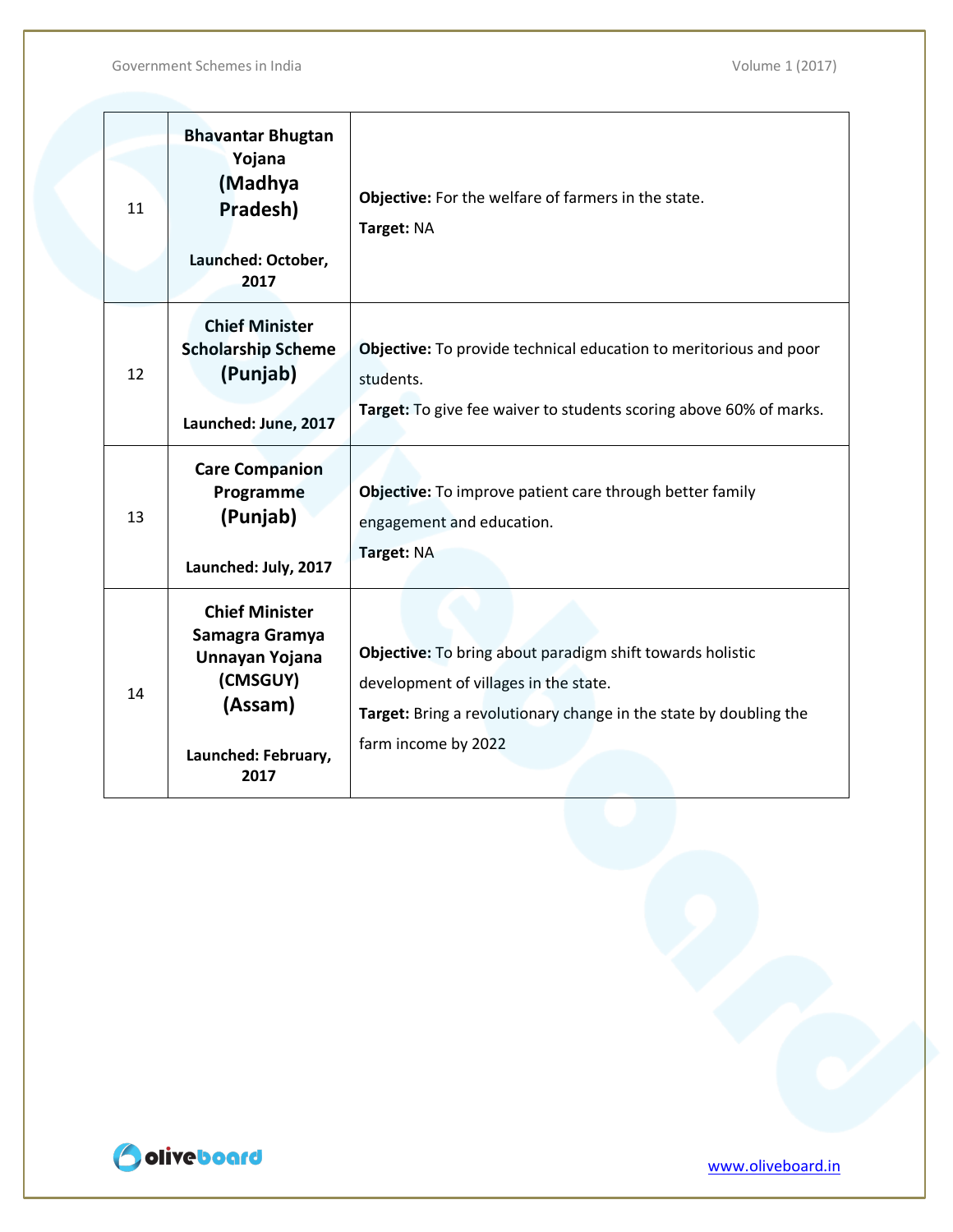| 11 | <b>Bhavantar Bhugtan</b><br>Yojana<br>(Madhya<br>Pradesh)<br>Launched: October,<br>2017                         | Objective: For the welfare of farmers in the state.<br>Target: NA                                                                                                                              |
|----|-----------------------------------------------------------------------------------------------------------------|------------------------------------------------------------------------------------------------------------------------------------------------------------------------------------------------|
| 12 | <b>Chief Minister</b><br><b>Scholarship Scheme</b><br>(Punjab)<br>Launched: June, 2017                          | Objective: To provide technical education to meritorious and poor<br>students.<br>Target: To give fee waiver to students scoring above 60% of marks.                                           |
| 13 | <b>Care Companion</b><br>Programme<br>(Punjab)<br>Launched: July, 2017                                          | Objective: To improve patient care through better family<br>engagement and education.<br>Target: NA                                                                                            |
| 14 | <b>Chief Minister</b><br>Samagra Gramya<br>Unnayan Yojana<br>(CMSGUY)<br>(Assam)<br>Launched: February,<br>2017 | Objective: To bring about paradigm shift towards holistic<br>development of villages in the state.<br>Target: Bring a revolutionary change in the state by doubling the<br>farm income by 2022 |

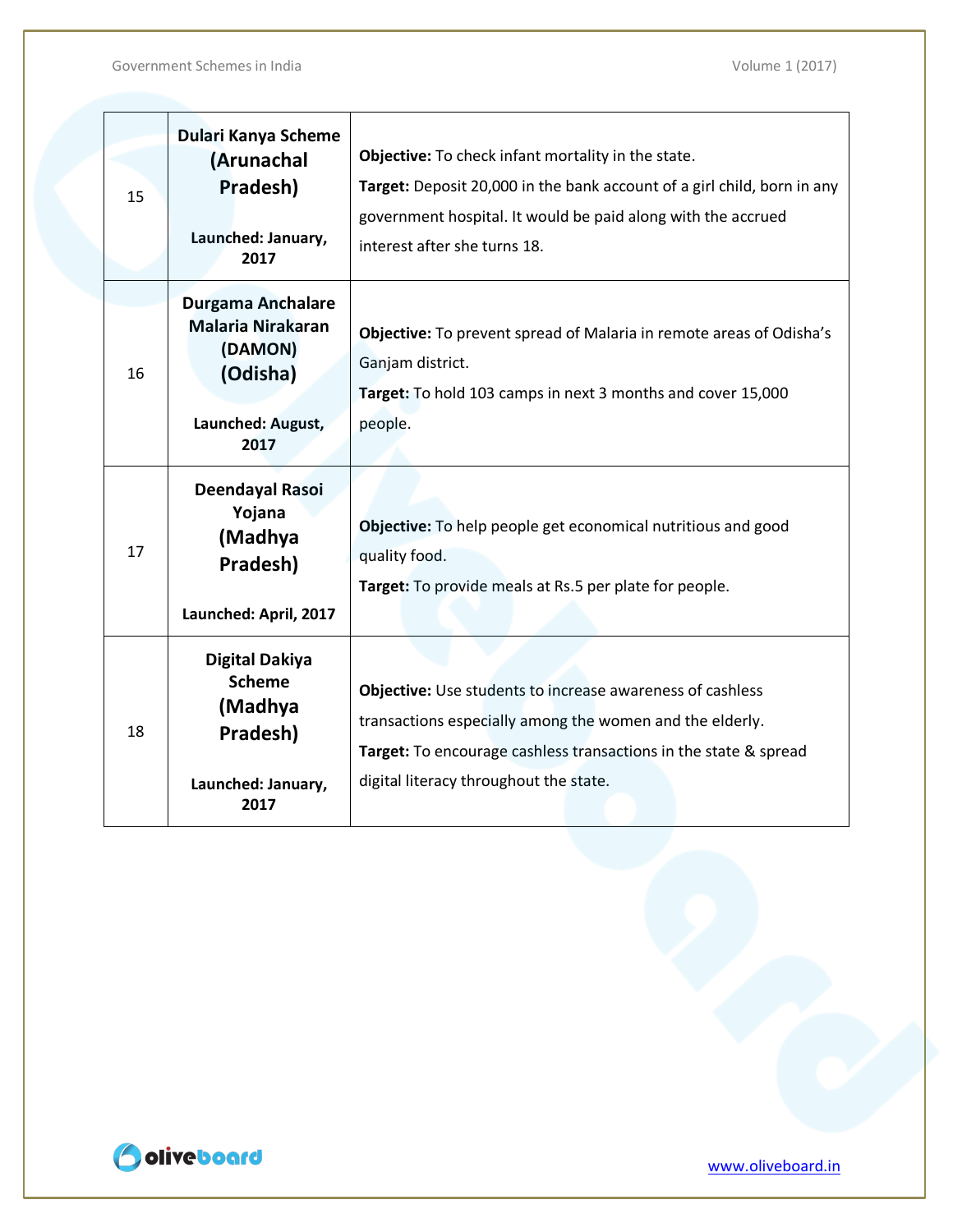Government Schemes in India de la controlle de la controlle de la volume 1 (2017)

| 15 | Dulari Kanya Scheme<br>(Arunachal<br>Pradesh)<br>Launched: January,<br>2017                              | Objective: To check infant mortality in the state.<br>Target: Deposit 20,000 in the bank account of a girl child, born in any<br>government hospital. It would be paid along with the accrued<br>interest after she turns 18.              |
|----|----------------------------------------------------------------------------------------------------------|--------------------------------------------------------------------------------------------------------------------------------------------------------------------------------------------------------------------------------------------|
| 16 | <b>Durgama Anchalare</b><br><b>Malaria Nirakaran</b><br>(DAMON)<br>(Odisha)<br>Launched: August,<br>2017 | Objective: To prevent spread of Malaria in remote areas of Odisha's<br>Ganjam district.<br>Target: To hold 103 camps in next 3 months and cover 15,000<br>people.                                                                          |
| 17 | Deendayal Rasoi<br>Yojana<br>(Madhya<br>Pradesh)<br>Launched: April, 2017                                | Objective: To help people get economical nutritious and good<br>quality food.<br>Target: To provide meals at Rs.5 per plate for people.                                                                                                    |
| 18 | <b>Digital Dakiya</b><br><b>Scheme</b><br>(Madhya<br>Pradesh)<br>Launched: January,<br>2017              | <b>Objective:</b> Use students to increase awareness of cashless<br>transactions especially among the women and the elderly.<br>Target: To encourage cashless transactions in the state & spread<br>digital literacy throughout the state. |

Odiveboard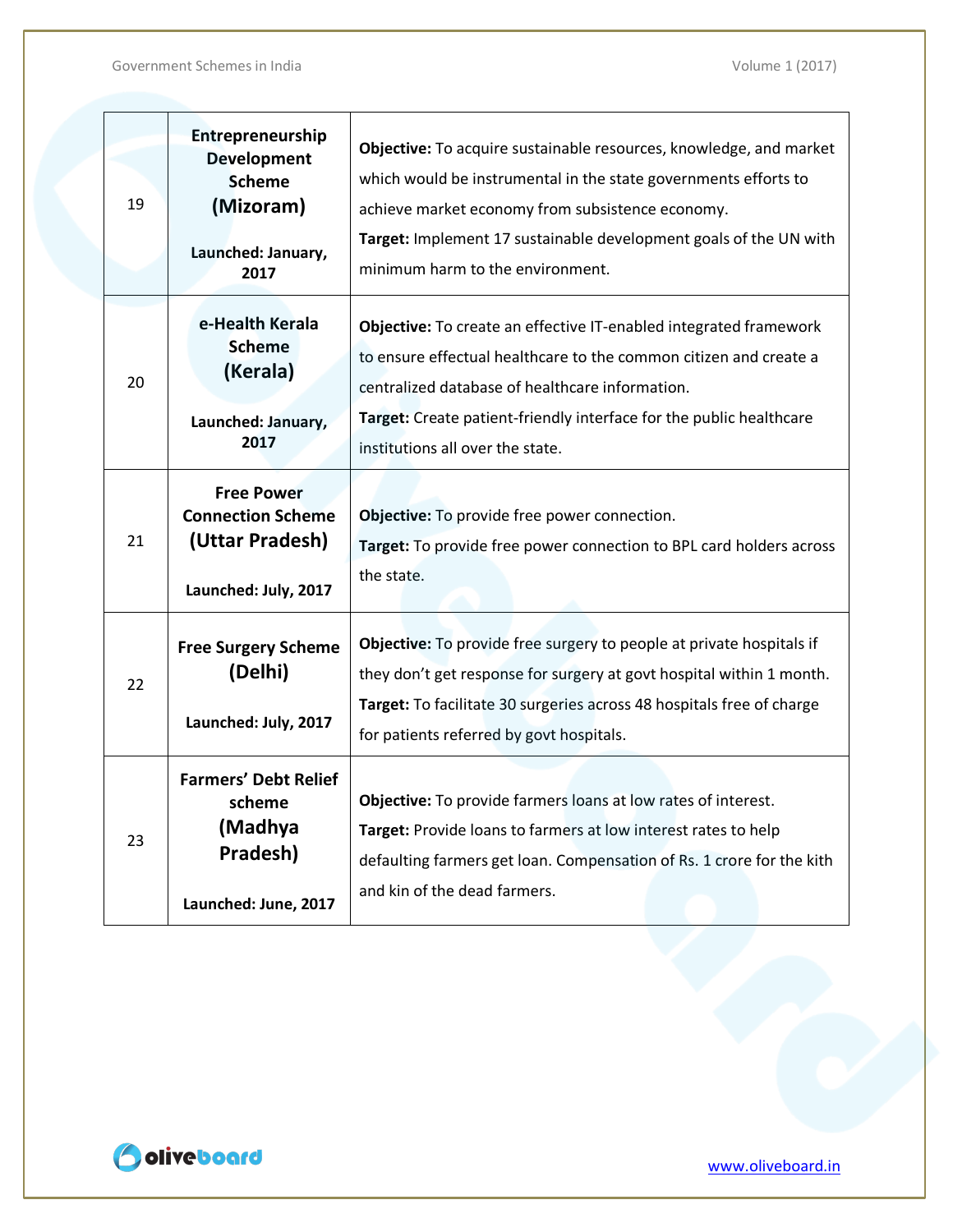| 19 | Entrepreneurship<br><b>Development</b><br><b>Scheme</b><br>(Mizoram)<br>Launched: January,<br>2017 | Objective: To acquire sustainable resources, knowledge, and market<br>which would be instrumental in the state governments efforts to<br>achieve market economy from subsistence economy.<br>Target: Implement 17 sustainable development goals of the UN with<br>minimum harm to the environment.   |
|----|----------------------------------------------------------------------------------------------------|------------------------------------------------------------------------------------------------------------------------------------------------------------------------------------------------------------------------------------------------------------------------------------------------------|
| 20 | e-Health Kerala<br><b>Scheme</b><br>(Kerala)<br>Launched: January,<br>2017                         | Objective: To create an effective IT-enabled integrated framework<br>to ensure effectual healthcare to the common citizen and create a<br>centralized database of healthcare information.<br>Target: Create patient-friendly interface for the public healthcare<br>institutions all over the state. |
| 21 | <b>Free Power</b><br><b>Connection Scheme</b><br>(Uttar Pradesh)<br>Launched: July, 2017           | Objective: To provide free power connection.<br>Target: To provide free power connection to BPL card holders across<br>the state.                                                                                                                                                                    |
| 22 | <b>Free Surgery Scheme</b><br>(Delhi)<br>Launched: July, 2017                                      | Objective: To provide free surgery to people at private hospitals if<br>they don't get response for surgery at govt hospital within 1 month.<br>Target: To facilitate 30 surgeries across 48 hospitals free of charge<br>for patients referred by govt hospitals.                                    |
| 23 | <b>Farmers' Debt Relief</b><br>scheme<br>(Madhya<br>Pradesh)<br>Launched: June, 2017               | Objective: To provide farmers loans at low rates of interest.<br>Target: Provide loans to farmers at low interest rates to help<br>defaulting farmers get loan. Compensation of Rs. 1 crore for the kith<br>and kin of the dead farmers.                                                             |

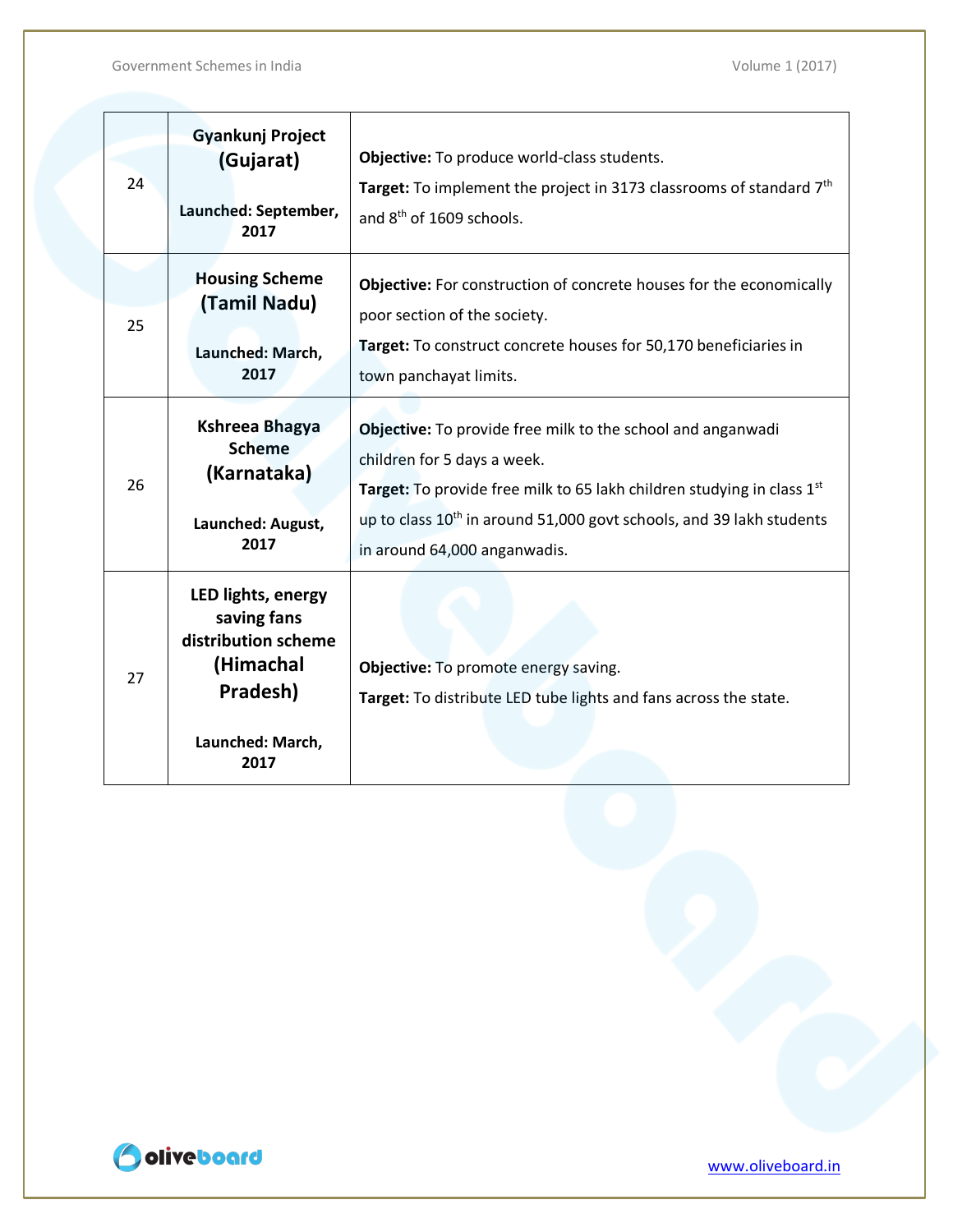| 24 | <b>Gyankunj Project</b><br>(Gujarat)<br>Launched: September,<br>2017                                          | Objective: To produce world-class students.<br><b>Target:</b> To implement the project in 3173 classrooms of standard $7th$<br>and 8 <sup>th</sup> of 1609 schools.                                                                                                                           |
|----|---------------------------------------------------------------------------------------------------------------|-----------------------------------------------------------------------------------------------------------------------------------------------------------------------------------------------------------------------------------------------------------------------------------------------|
| 25 | <b>Housing Scheme</b><br>(Tamil Nadu)<br>Launched: March,<br>2017                                             | Objective: For construction of concrete houses for the economically<br>poor section of the society.<br>Target: To construct concrete houses for 50,170 beneficiaries in<br>town panchayat limits.                                                                                             |
| 26 | Kshreea Bhagya<br><b>Scheme</b><br>(Karnataka)<br>Launched: August,<br>2017                                   | Objective: To provide free milk to the school and anganwadi<br>children for 5 days a week.<br>Target: To provide free milk to 65 lakh children studying in class 1 <sup>st</sup><br>up to class $10^{th}$ in around 51,000 govt schools, and 39 lakh students<br>in around 64,000 anganwadis. |
| 27 | LED lights, energy<br>saving fans<br>distribution scheme<br>(Himachal<br>Pradesh)<br>Launched: March,<br>2017 | Objective: To promote energy saving.<br>Target: To distribute LED tube lights and fans across the state.                                                                                                                                                                                      |

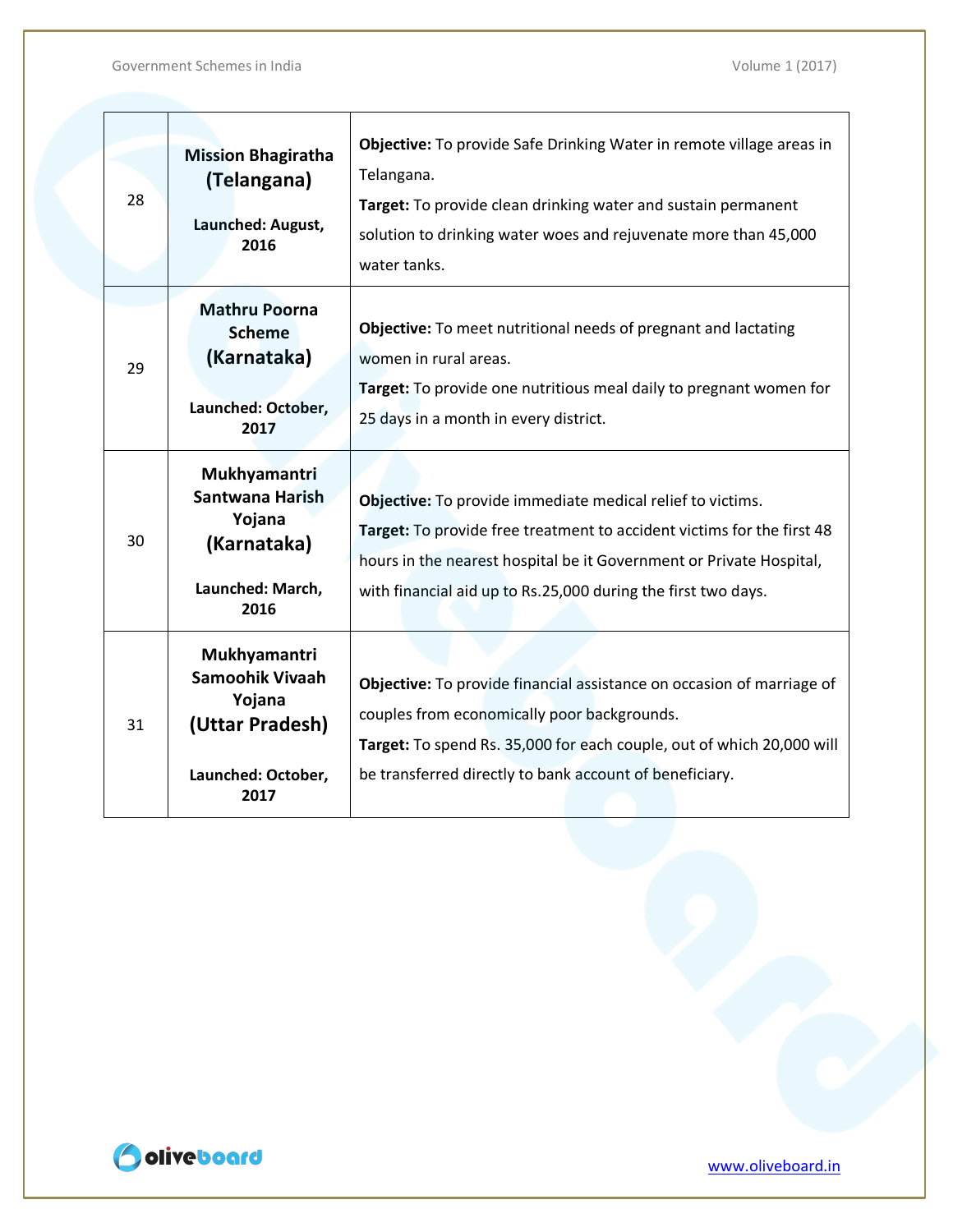#### Government Schemes in India de la controlle de la controlle de la volume 1 (2017)

| 28 | <b>Mission Bhagiratha</b><br>(Telangana)<br>Launched: August,<br>2016                      | Objective: To provide Safe Drinking Water in remote village areas in<br>Telangana.<br>Target: To provide clean drinking water and sustain permanent<br>solution to drinking water woes and rejuvenate more than 45,000<br>water tanks.                                       |
|----|--------------------------------------------------------------------------------------------|------------------------------------------------------------------------------------------------------------------------------------------------------------------------------------------------------------------------------------------------------------------------------|
| 29 | <b>Mathru Poorna</b><br><b>Scheme</b><br>(Karnataka)<br>Launched: October,<br>2017         | <b>Objective:</b> To meet nutritional needs of pregnant and lactating<br>women in rural areas.<br>Target: To provide one nutritious meal daily to pregnant women for<br>25 days in a month in every district.                                                                |
| 30 | Mukhyamantri<br>Santwana Harish<br>Yojana<br>(Karnataka)<br>Launched: March,<br>2016       | Objective: To provide immediate medical relief to victims.<br>Target: To provide free treatment to accident victims for the first 48<br>hours in the nearest hospital be it Government or Private Hospital,<br>with financial aid up to Rs.25,000 during the first two days. |
| 31 | Mukhyamantri<br>Samoohik Vivaah<br>Yojana<br>(Uttar Pradesh)<br>Launched: October,<br>2017 | Objective: To provide financial assistance on occasion of marriage of<br>couples from economically poor backgrounds.<br>Target: To spend Rs. 35,000 for each couple, out of which 20,000 will<br>be transferred directly to bank account of beneficiary.                     |

Odiveboard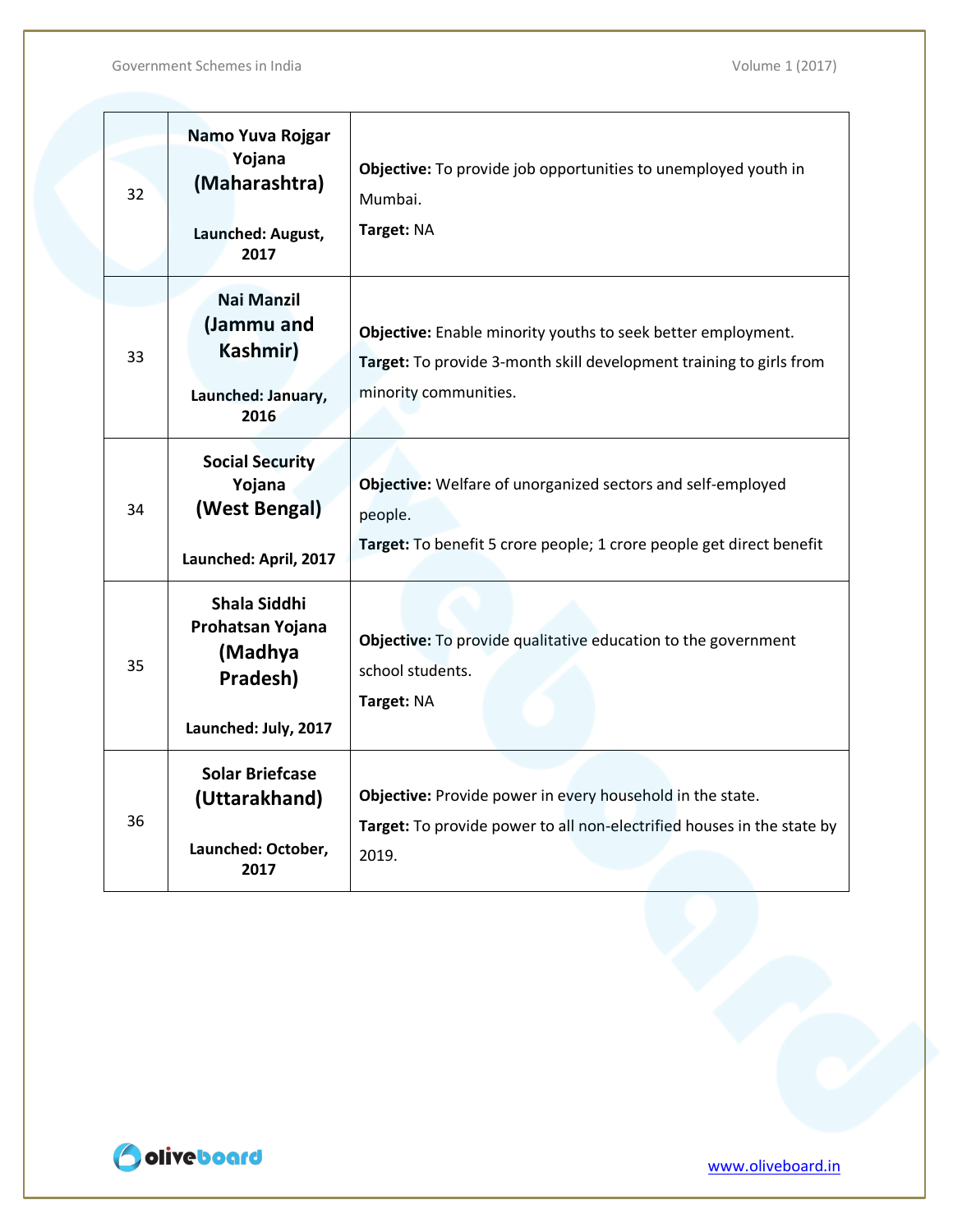| 32 | Namo Yuva Rojgar<br>Yojana<br>(Maharashtra)<br>Launched: August,<br>2017        | Objective: To provide job opportunities to unemployed youth in<br>Mumbai.<br>Target: NA                                                                      |
|----|---------------------------------------------------------------------------------|--------------------------------------------------------------------------------------------------------------------------------------------------------------|
| 33 | <b>Nai Manzil</b><br>(Jammu and<br>Kashmir)<br>Launched: January,<br>2016       | Objective: Enable minority youths to seek better employment.<br>Target: To provide 3-month skill development training to girls from<br>minority communities. |
| 34 | <b>Social Security</b><br>Yojana<br>(West Bengal)<br>Launched: April, 2017      | Objective: Welfare of unorganized sectors and self-employed<br>people.<br>Target: To benefit 5 crore people; 1 crore people get direct benefit               |
| 35 | Shala Siddhi<br>Prohatsan Yojana<br>(Madhya<br>Pradesh)<br>Launched: July, 2017 | Objective: To provide qualitative education to the government<br>school students.<br>Target: NA                                                              |
| 36 | <b>Solar Briefcase</b><br>(Uttarakhand)<br>Launched: October,<br>2017           | Objective: Provide power in every household in the state.<br>Target: To provide power to all non-electrified houses in the state by<br>2019.                 |

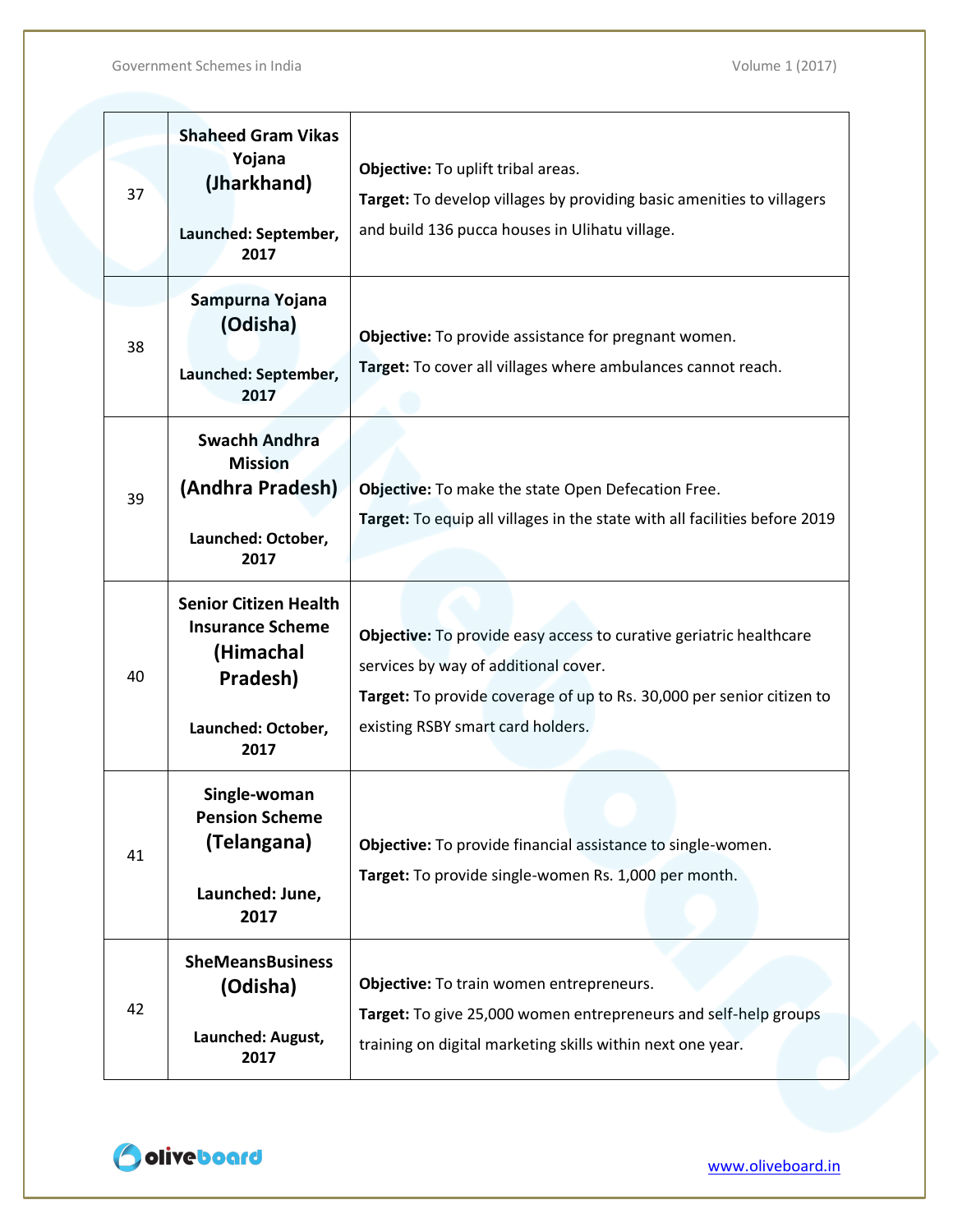| 37 | <b>Shaheed Gram Vikas</b><br>Yojana<br>(Jharkhand)<br>Launched: September,<br>2017                             | Objective: To uplift tribal areas.<br>Target: To develop villages by providing basic amenities to villagers<br>and build 136 pucca houses in Ulihatu village.                                                            |
|----|----------------------------------------------------------------------------------------------------------------|--------------------------------------------------------------------------------------------------------------------------------------------------------------------------------------------------------------------------|
| 38 | Sampurna Yojana<br>(Odisha)<br>Launched: September,<br>2017                                                    | Objective: To provide assistance for pregnant women.<br>Target: To cover all villages where ambulances cannot reach.                                                                                                     |
| 39 | <b>Swachh Andhra</b><br><b>Mission</b><br>(Andhra Pradesh)<br>Launched: October,<br>2017                       | Objective: To make the state Open Defecation Free.<br>Target: To equip all villages in the state with all facilities before 2019                                                                                         |
| 40 | <b>Senior Citizen Health</b><br><b>Insurance Scheme</b><br>(Himachal<br>Pradesh)<br>Launched: October,<br>2017 | Objective: To provide easy access to curative geriatric healthcare<br>services by way of additional cover.<br>Target: To provide coverage of up to Rs. 30,000 per senior citizen to<br>existing RSBY smart card holders. |
| 41 | Single-woman<br><b>Pension Scheme</b><br>(Telangana)<br>Launched: June,<br>2017                                | Objective: To provide financial assistance to single-women.<br>Target: To provide single-women Rs. 1,000 per month.                                                                                                      |
| 42 | <b>SheMeansBusiness</b><br>(Odisha)<br>Launched: August,<br>2017                                               | Objective: To train women entrepreneurs.<br>Target: To give 25,000 women entrepreneurs and self-help groups<br>training on digital marketing skills within next one year.                                                |

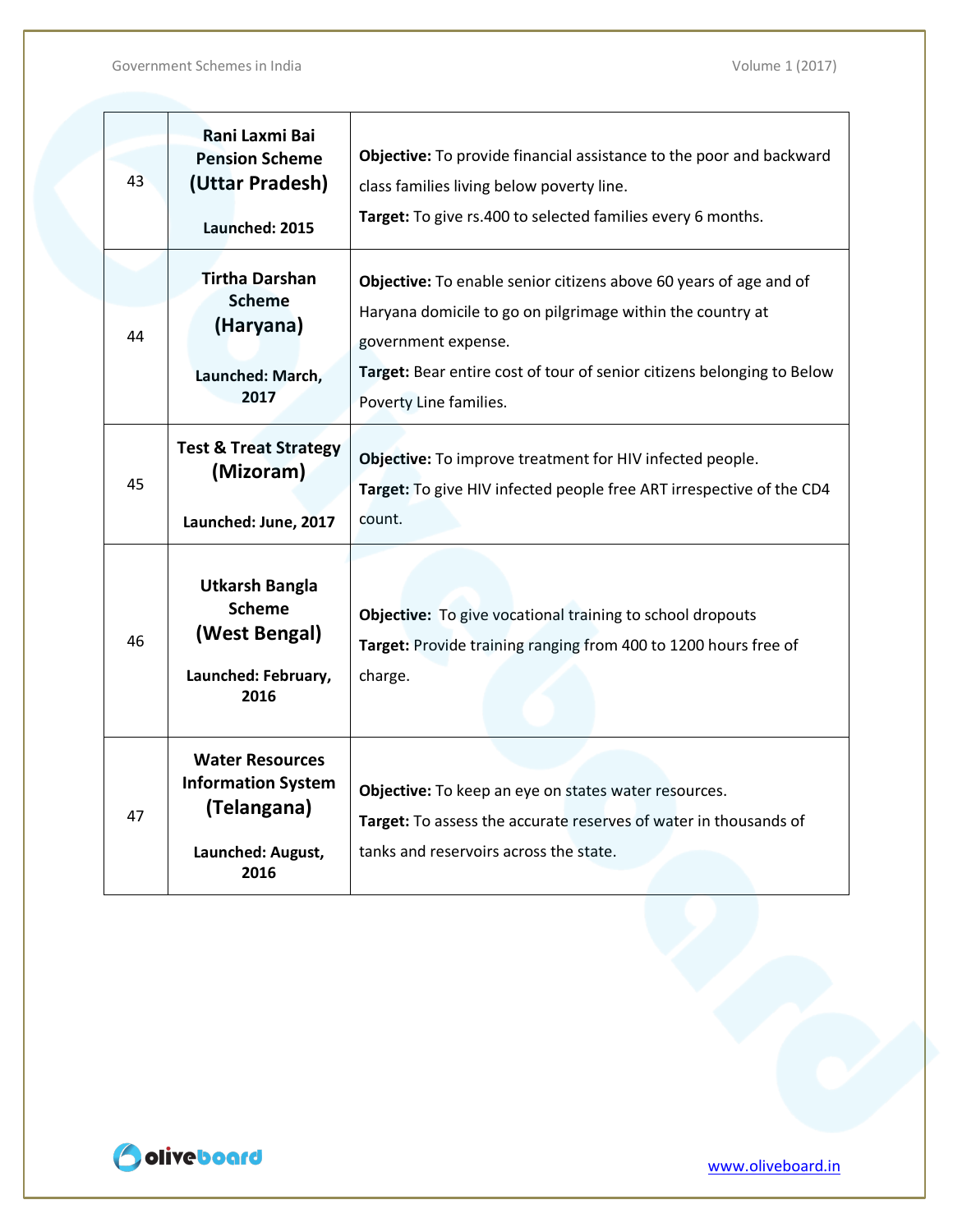| 43 | Rani Laxmi Bai<br><b>Pension Scheme</b><br>(Uttar Pradesh)<br>Launched: 2015                    | Objective: To provide financial assistance to the poor and backward<br>class families living below poverty line.<br>Target: To give rs.400 to selected families every 6 months.                                                                            |
|----|-------------------------------------------------------------------------------------------------|------------------------------------------------------------------------------------------------------------------------------------------------------------------------------------------------------------------------------------------------------------|
| 44 | <b>Tirtha Darshan</b><br><b>Scheme</b><br>(Haryana)<br>Launched: March,<br>2017                 | Objective: To enable senior citizens above 60 years of age and of<br>Haryana domicile to go on pilgrimage within the country at<br>government expense.<br>Target: Bear entire cost of tour of senior citizens belonging to Below<br>Poverty Line families. |
| 45 | <b>Test &amp; Treat Strategy</b><br>(Mizoram)<br>Launched: June, 2017                           | Objective: To improve treatment for HIV infected people.<br>Target: To give HIV infected people free ART irrespective of the CD4<br>count.                                                                                                                 |
| 46 | <b>Utkarsh Bangla</b><br><b>Scheme</b><br>(West Bengal)<br>Launched: February,<br>2016          | <b>Objective:</b> To give vocational training to school dropouts<br>Target: Provide training ranging from 400 to 1200 hours free of<br>charge.                                                                                                             |
| 47 | <b>Water Resources</b><br><b>Information System</b><br>(Telangana)<br>Launched: August,<br>2016 | Objective: To keep an eye on states water resources.<br>Target: To assess the accurate reserves of water in thousands of<br>tanks and reservoirs across the state.                                                                                         |